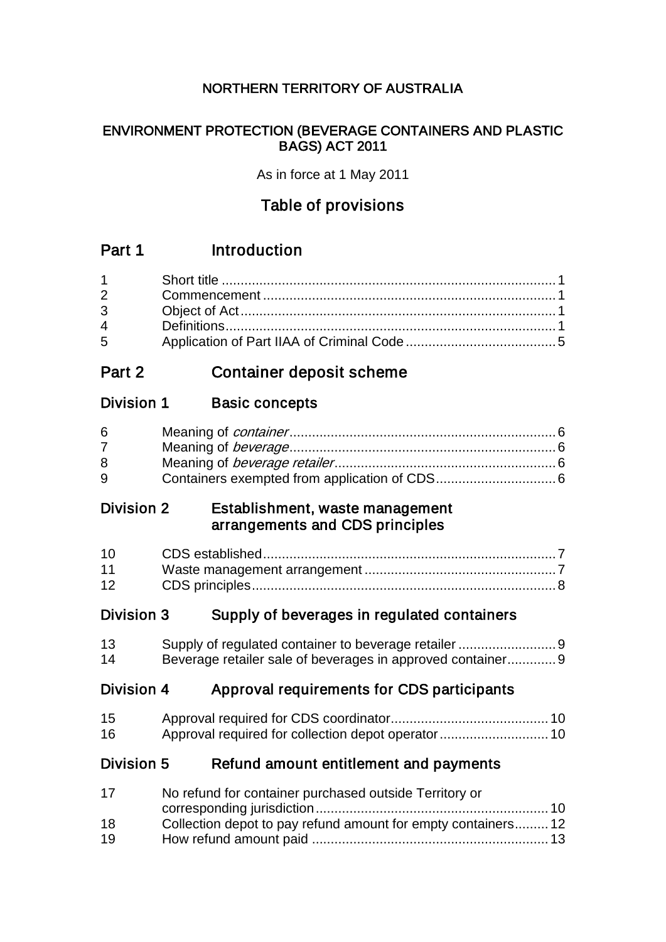# NORTHERN TERRITORY OF AUSTRALIA

## ENVIRONMENT PROTECTION (BEVERAGE CONTAINERS AND PLASTIC BAGS) ACT 2011

As in force at 1 May 2011

# Table of provisions

# Part 1 Introduction

| $1 \quad \blacksquare$         |  |
|--------------------------------|--|
| $2 \left( \frac{1}{2} \right)$ |  |
| $3^{\circ}$                    |  |
| $\overline{4}$                 |  |
| $5^{\circ}$                    |  |

# Part 2 Container deposit scheme

# Division 1 Basic concepts

| 6 |  |
|---|--|
|   |  |
| 8 |  |
| 9 |  |

## Division 2 Establishment, waste management arrangements and CDS principles

| 11 |  |
|----|--|
| 12 |  |

# Division 3 Supply of beverages in regulated containers

| 13 |                                                            |  |
|----|------------------------------------------------------------|--|
| 14 | Beverage retailer sale of beverages in approved container9 |  |

# Division 4 Approval requirements for CDS participants

| 15 |  |
|----|--|
| 16 |  |

## Division 5 Refund amount entitlement and payments

| 17 | No refund for container purchased outside Territory or       |  |
|----|--------------------------------------------------------------|--|
|    |                                                              |  |
| 18 | Collection depot to pay refund amount for empty containers12 |  |
| 19 |                                                              |  |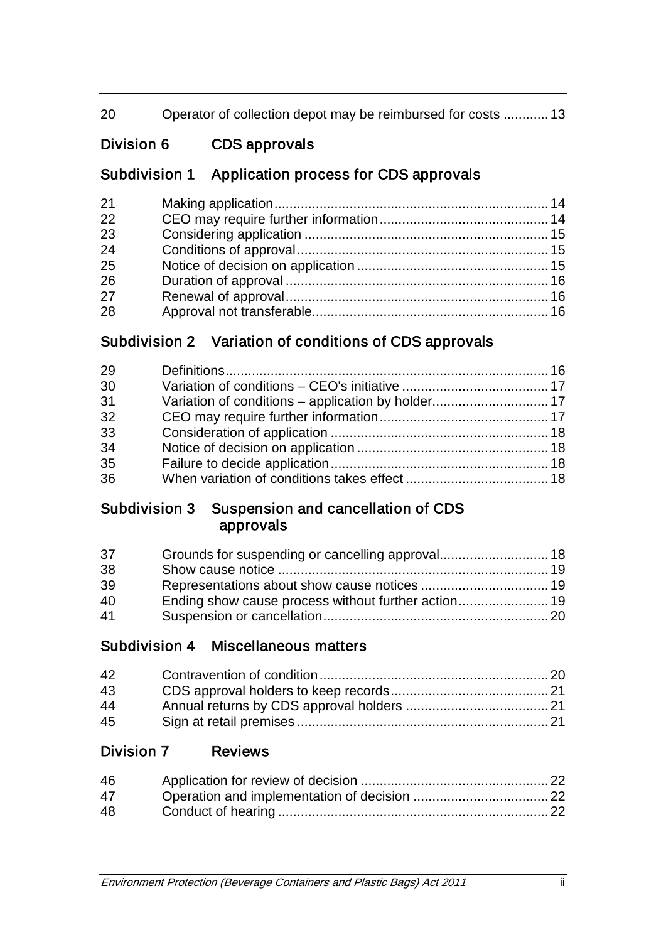| 20 | Operator of collection depot may be reimbursed for costs 13 |  |
|----|-------------------------------------------------------------|--|
|    |                                                             |  |

# Division 6 CDS approvals

# Subdivision 1 Application process for CDS approvals

| 21 |  |
|----|--|
| 22 |  |
| 23 |  |
| 24 |  |
| 25 |  |
| 26 |  |
| 27 |  |
| 28 |  |

# Subdivision 2 Variation of conditions of CDS approvals

| 29 |  |
|----|--|
| 30 |  |
| 31 |  |
| 32 |  |
| 33 |  |
| 34 |  |
| 35 |  |
| 36 |  |

# Subdivision 3 Suspension and cancellation of CDS approvals

| 37 |  |
|----|--|
| 38 |  |
| 39 |  |
| 40 |  |
| 41 |  |

# Subdivision 4 Miscellaneous matters

| 42 |  |
|----|--|
| 43 |  |
| 44 |  |
| 45 |  |

# Division 7 Reviews

| 46 |  |
|----|--|
| 47 |  |
| 48 |  |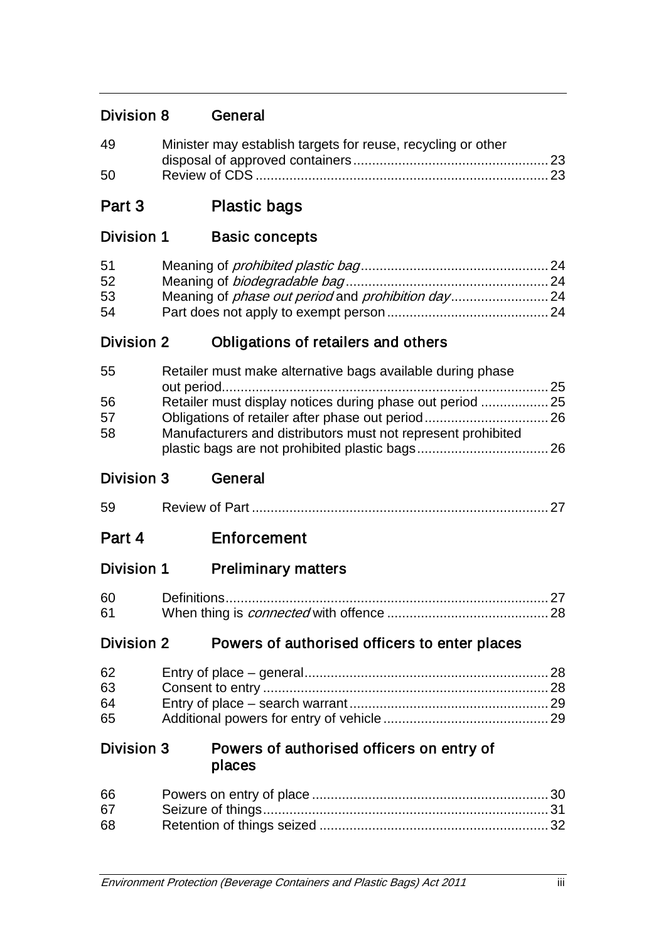# Division 8 General

| 49 | Minister may establish targets for reuse, recycling or other |  |
|----|--------------------------------------------------------------|--|
|    |                                                              |  |
| 50 |                                                              |  |

# Part 3 Plastic bags

# Division 1 Basic concepts

| 51 |  |
|----|--|
| 52 |  |
| 53 |  |
| 54 |  |

# Division 2 Obligations of retailers and others

| 55 | Retailer must make alternative bags available during phase   |  |
|----|--------------------------------------------------------------|--|
|    |                                                              |  |
| 56 |                                                              |  |
| 57 |                                                              |  |
| 58 | Manufacturers and distributors must not represent prohibited |  |
|    |                                                              |  |

## Division 3 General

| $\sim$<br>Review of Part<br>59 |  |
|--------------------------------|--|
|--------------------------------|--|

# Part 4 Enforcement

Division 1 Preliminary matters

| 60 |  |
|----|--|
| 61 |  |

# Division 2 Powers of authorised officers to enter places

| 62 |  |
|----|--|
| 63 |  |
| 64 |  |
| 65 |  |

## Division 3 Powers of authorised officers on entry of places

| 66 |  |
|----|--|
| 67 |  |
| 68 |  |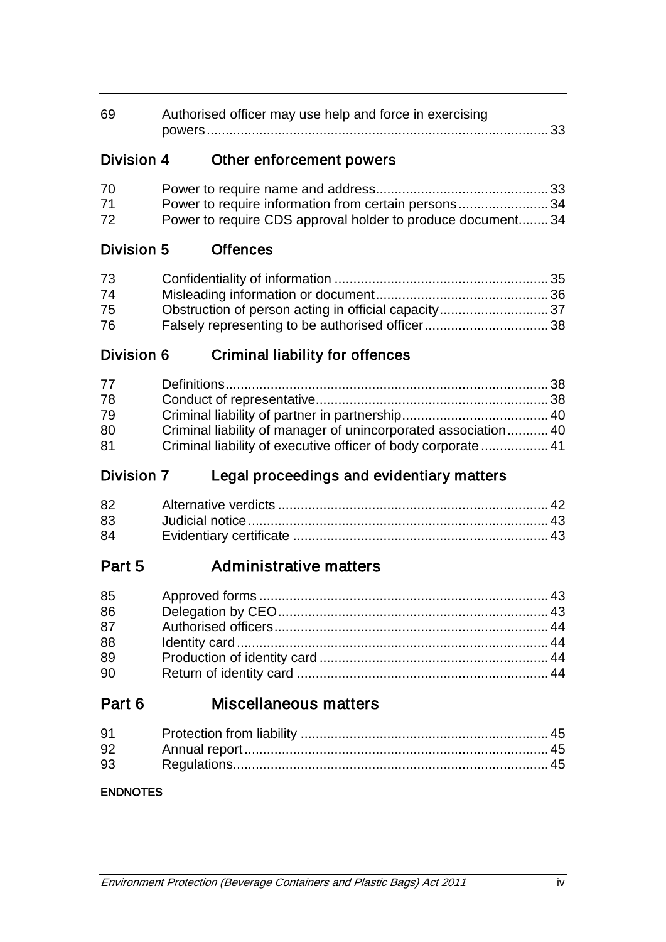| 69 | Authorised officer may use help and force in exercising |  |
|----|---------------------------------------------------------|--|
|    |                                                         |  |

# Division 4 Other enforcement powers

| 70 |                                                            |  |
|----|------------------------------------------------------------|--|
| 71 | Power to require information from certain persons34        |  |
| 72 | Power to require CDS approval holder to produce document34 |  |

# Division 5 Offences

| 73 |  |
|----|--|
| 74 |  |
| 75 |  |
| 76 |  |

# Division 6 Criminal liability for offences

| 77 |                                                                |  |
|----|----------------------------------------------------------------|--|
| 78 |                                                                |  |
| 79 |                                                                |  |
| 80 | Criminal liability of manager of unincorporated association 40 |  |
| 81 |                                                                |  |

# Division 7 Legal proceedings and evidentiary matters

| 83 |  |
|----|--|
| 84 |  |

# Part 5 Administrative matters

| 85 |  |
|----|--|
| 86 |  |
| 87 |  |
| 88 |  |
| 89 |  |
| 90 |  |

# Part 6 Miscellaneous matters

| 91 |  |
|----|--|
| 92 |  |
| 93 |  |

## **ENDNOTES**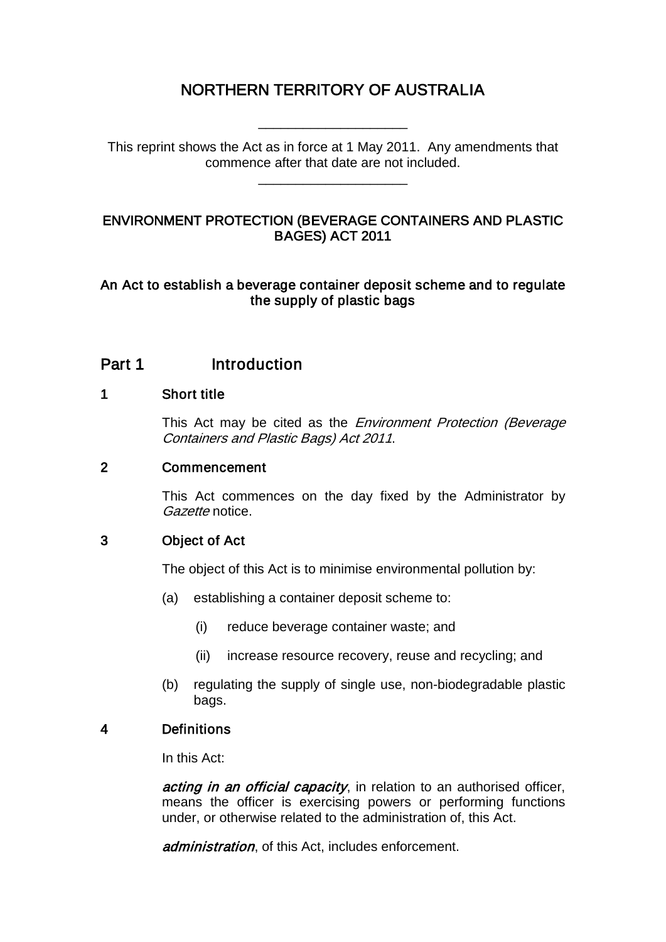# NORTHERN TERRITORY OF AUSTRALIA

\_\_\_\_\_\_\_\_\_\_\_\_\_\_\_\_\_\_\_\_

This reprint shows the Act as in force at 1 May 2011. Any amendments that commence after that date are not included.

\_\_\_\_\_\_\_\_\_\_\_\_\_\_\_\_\_\_\_\_

## ENVIRONMENT PROTECTION (BEVERAGE CONTAINERS AND PLASTIC BAGES) ACT 2011

### An Act to establish a beverage container deposit scheme and to regulate the supply of plastic bags

# Part 1 Introduction

### 1 Short title

This Act may be cited as the *Environment Protection (Beverage* Containers and Plastic Bags) Act 2011.

### 2 Commencement

This Act commences on the day fixed by the Administrator by Gazette notice.

## 3 Object of Act

The object of this Act is to minimise environmental pollution by:

- (a) establishing a container deposit scheme to:
	- (i) reduce beverage container waste; and
	- (ii) increase resource recovery, reuse and recycling; and
- (b) regulating the supply of single use, non-biodegradable plastic bags.

## 4 Definitions

In this Act:

acting in an official capacity, in relation to an authorised officer, means the officer is exercising powers or performing functions under, or otherwise related to the administration of, this Act.

administration, of this Act, includes enforcement.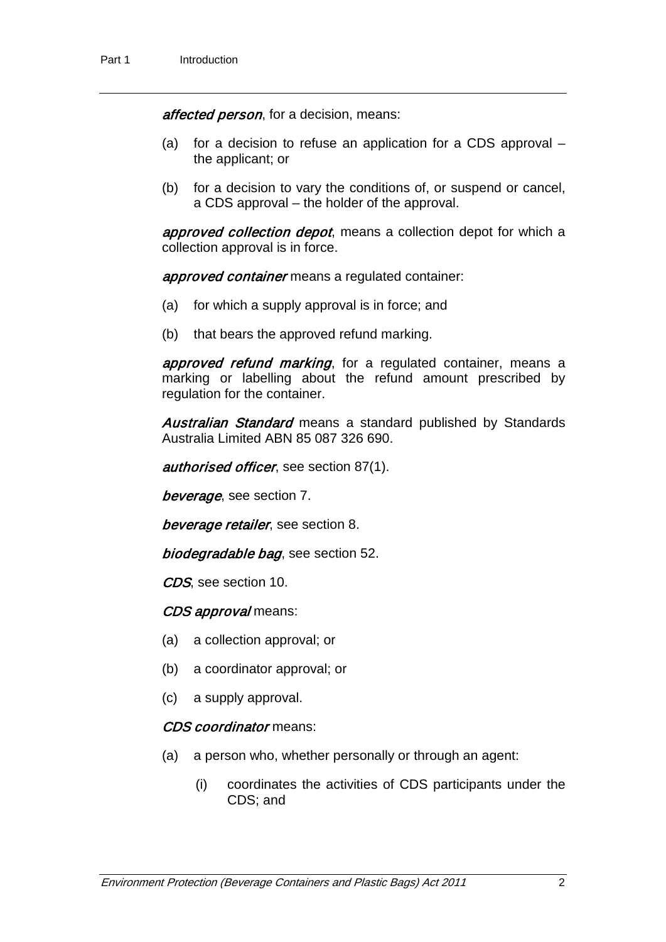affected person, for a decision, means:

- (a) for a decision to refuse an application for a CDS approval the applicant; or
- (b) for a decision to vary the conditions of, or suspend or cancel, a CDS approval – the holder of the approval.

approved collection depot, means a collection depot for which a collection approval is in force.

approved container means a regulated container:

- (a) for which a supply approval is in force; and
- (b) that bears the approved refund marking.

approved refund marking, for a regulated container, means a marking or labelling about the refund amount prescribed by regulation for the container.

Australian Standard means a standard published by Standards Australia Limited ABN 85 087 326 690.

authorised officer, see section 87(1).

beverage, see section 7.

beverage retailer, see section 8.

biodegradable bag, see section 52.

CDS, see section 10.

#### CDS approval means:

- (a) a collection approval; or
- (b) a coordinator approval; or
- (c) a supply approval.

#### CDS coordinator means:

- (a) a person who, whether personally or through an agent:
	- (i) coordinates the activities of CDS participants under the CDS; and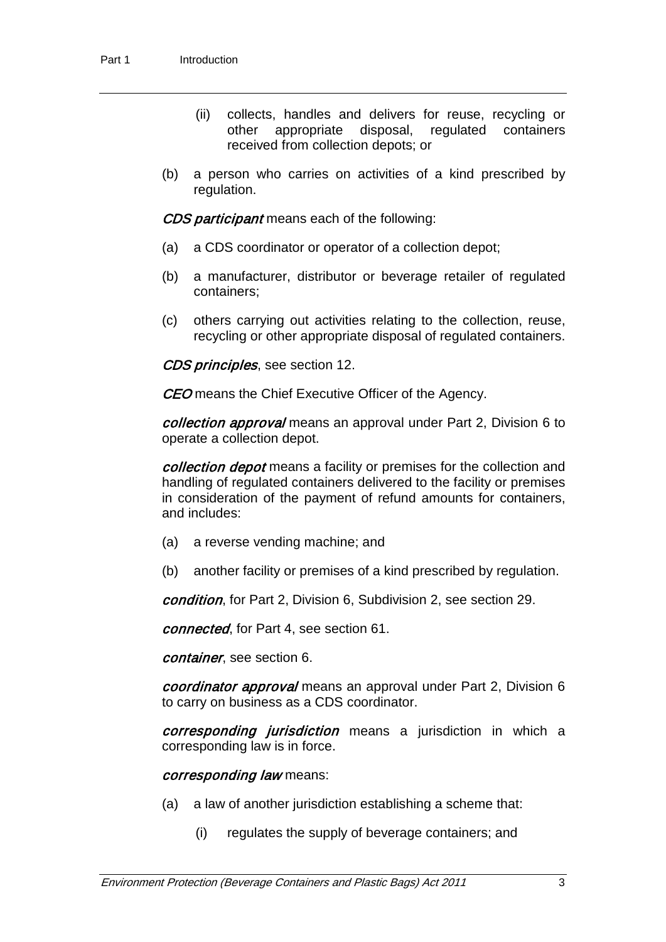- (ii) collects, handles and delivers for reuse, recycling or other appropriate disposal, regulated containers received from collection depots; or
- (b) a person who carries on activities of a kind prescribed by regulation.

CDS participant means each of the following:

- (a) a CDS coordinator or operator of a collection depot;
- (b) a manufacturer, distributor or beverage retailer of regulated containers;
- (c) others carrying out activities relating to the collection, reuse, recycling or other appropriate disposal of regulated containers.

CDS principles, see section 12.

**CEO** means the Chief Executive Officer of the Agency.

collection approval means an approval under Part 2, Division 6 to operate a collection depot.

collection depot means a facility or premises for the collection and handling of regulated containers delivered to the facility or premises in consideration of the payment of refund amounts for containers, and includes:

- (a) a reverse vending machine; and
- (b) another facility or premises of a kind prescribed by regulation.

condition, for Part 2, Division 6, Subdivision 2, see section 29.

connected, for Part 4, see section 61.

container, see section 6.

coordinator approval means an approval under Part 2, Division 6 to carry on business as a CDS coordinator.

*corresponding jurisdiction* means a jurisdiction in which a corresponding law is in force.

corresponding law means:

- (a) a law of another jurisdiction establishing a scheme that:
	- (i) regulates the supply of beverage containers; and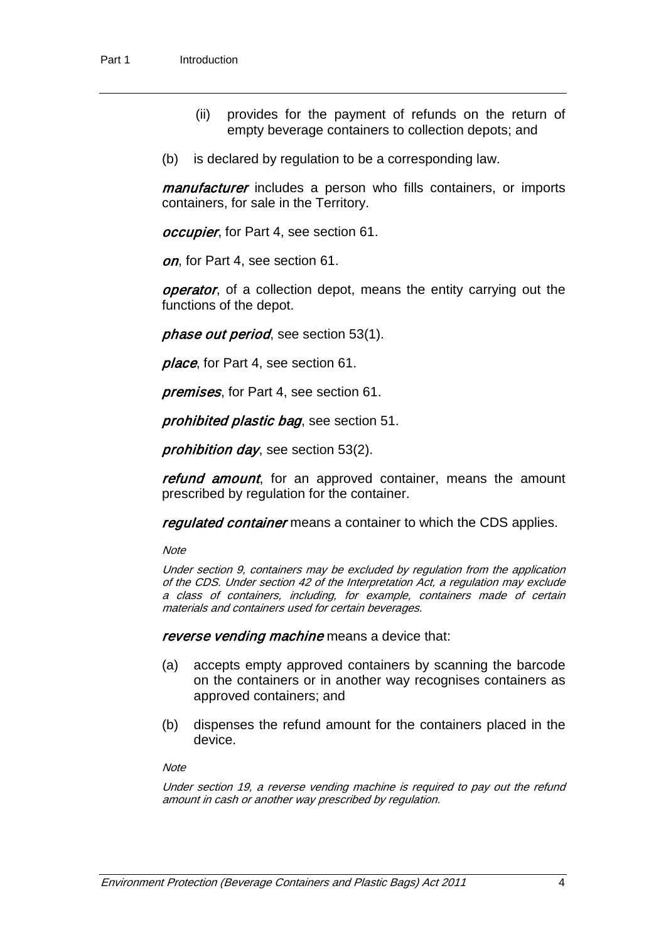- (ii) provides for the payment of refunds on the return of empty beverage containers to collection depots; and
- (b) is declared by regulation to be a corresponding law.

manufacturer includes a person who fills containers, or imports containers, for sale in the Territory.

occupier, for Part 4, see section 61.

on, for Part 4, see section 61.

**operator**, of a collection depot, means the entity carrying out the functions of the depot.

phase out period, see section 53(1).

place, for Part 4, see section 61.

premises, for Part 4, see section 61.

prohibited plastic bag, see section 51.

prohibition day, see section 53(2).

refund amount, for an approved container, means the amount prescribed by regulation for the container.

regulated container means a container to which the CDS applies.

**Note** 

Under section 9, containers may be excluded by regulation from the application of the CDS. Under section 42 of the Interpretation Act, a regulation may exclude a class of containers, including, for example, containers made of certain materials and containers used for certain beverages.

reverse vending machine means a device that:

- (a) accepts empty approved containers by scanning the barcode on the containers or in another way recognises containers as approved containers; and
- (b) dispenses the refund amount for the containers placed in the device.

**Note** 

Under section 19, a reverse vending machine is required to pay out the refund amount in cash or another way prescribed by regulation.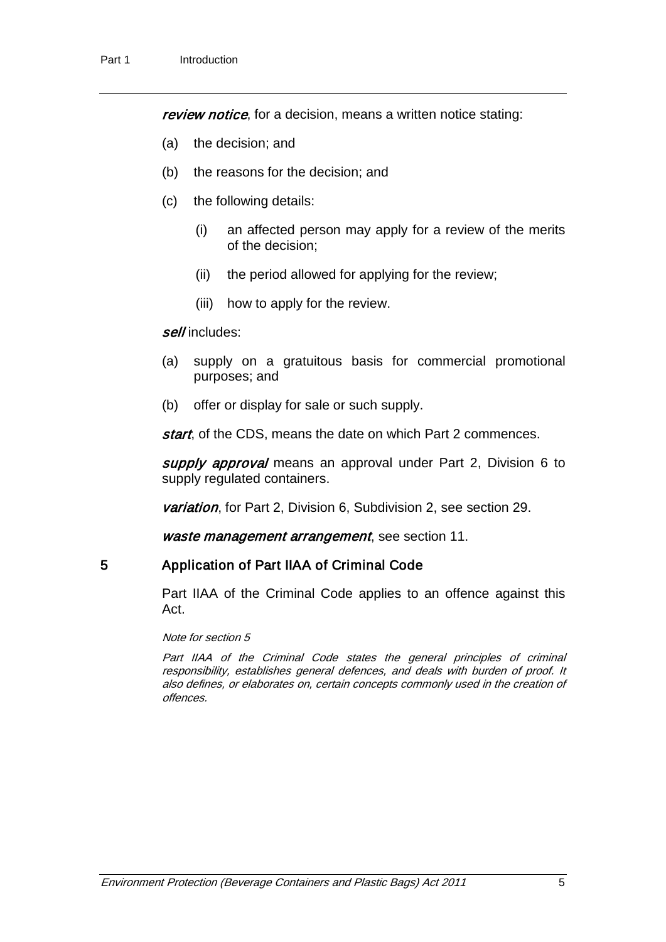review notice, for a decision, means a written notice stating:

- (a) the decision; and
- (b) the reasons for the decision; and
- (c) the following details:
	- (i) an affected person may apply for a review of the merits of the decision;
	- (ii) the period allowed for applying for the review;
	- (iii) how to apply for the review.

#### sell includes:

- (a) supply on a gratuitous basis for commercial promotional purposes; and
- (b) offer or display for sale or such supply.

start, of the CDS, means the date on which Part 2 commences.

supply approval means an approval under Part 2, Division 6 to supply regulated containers.

variation, for Part 2, Division 6, Subdivision 2, see section 29.

waste management arrangement, see section 11.

## 5 Application of Part IIAA of Criminal Code

Part IIAA of the Criminal Code applies to an offence against this Act.

Note for section 5

Part IIAA of the Criminal Code states the general principles of criminal responsibility, establishes general defences, and deals with burden of proof. It also defines, or elaborates on, certain concepts commonly used in the creation of offences.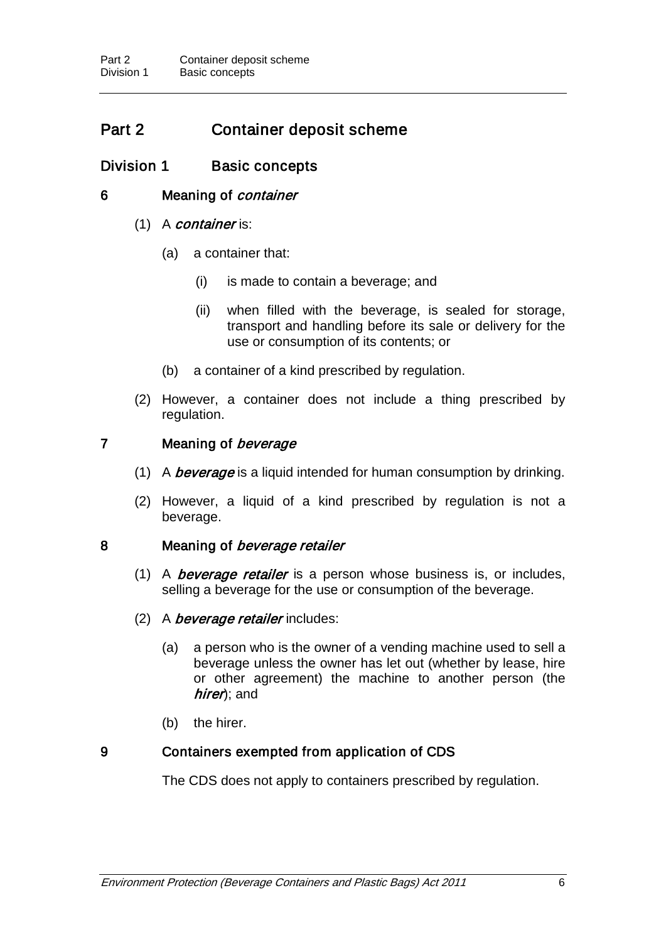# Part 2 Container deposit scheme

## Division 1 Basic concepts

### 6 Meaning of *container*

#### $(1)$  A *container* is:

- (a) a container that:
	- (i) is made to contain a beverage; and
	- (ii) when filled with the beverage, is sealed for storage, transport and handling before its sale or delivery for the use or consumption of its contents; or
- (b) a container of a kind prescribed by regulation.
- (2) However, a container does not include a thing prescribed by regulation.

## 7 Meaning of *beverage*

- (1) A *beverage* is a liquid intended for human consumption by drinking.
- (2) However, a liquid of a kind prescribed by regulation is not a beverage.

#### 8 Meaning of *beverage retailer*

- (1) A *beverage retailer* is a person whose business is, or includes, selling a beverage for the use or consumption of the beverage.
- (2) A *beverage retailer* includes:
	- (a) a person who is the owner of a vending machine used to sell a beverage unless the owner has let out (whether by lease, hire or other agreement) the machine to another person (the hirer); and
	- (b) the hirer.

## 9 Containers exempted from application of CDS

The CDS does not apply to containers prescribed by regulation.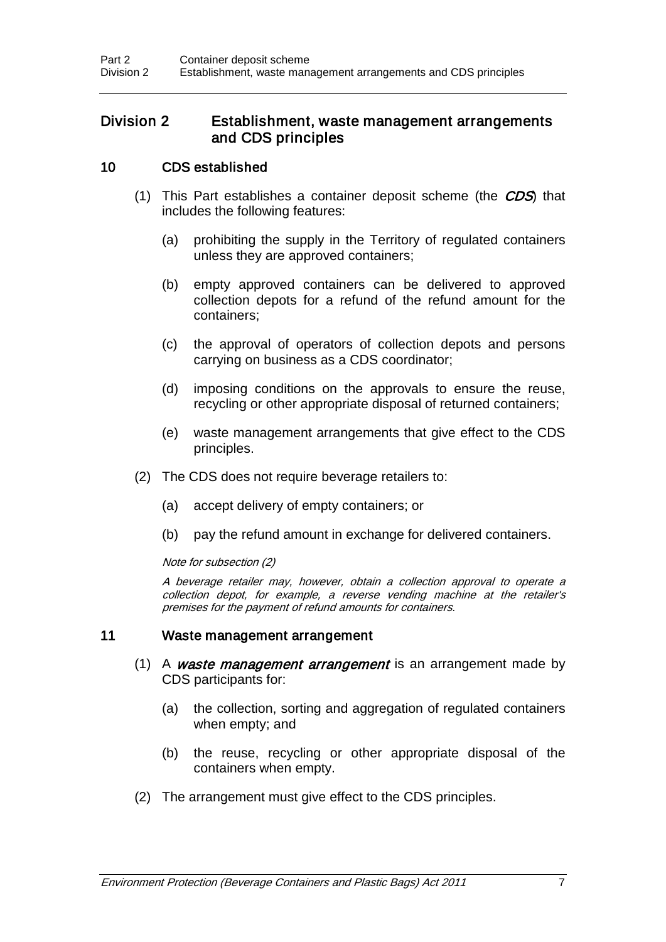## Division 2 Establishment, waste management arrangements and CDS principles

## 10 CDS established

- (1) This Part establishes a container deposit scheme (the CDS) that includes the following features:
	- (a) prohibiting the supply in the Territory of regulated containers unless they are approved containers;
	- (b) empty approved containers can be delivered to approved collection depots for a refund of the refund amount for the containers;
	- (c) the approval of operators of collection depots and persons carrying on business as a CDS coordinator;
	- (d) imposing conditions on the approvals to ensure the reuse, recycling or other appropriate disposal of returned containers;
	- (e) waste management arrangements that give effect to the CDS principles.
- (2) The CDS does not require beverage retailers to:
	- (a) accept delivery of empty containers; or
	- (b) pay the refund amount in exchange for delivered containers.

#### Note for subsection (2)

A beverage retailer may, however, obtain a collection approval to operate a collection depot, for example, a reverse vending machine at the retailer's premises for the payment of refund amounts for containers.

#### 11 Waste management arrangement

- (1) A waste management arrangement is an arrangement made by CDS participants for:
	- (a) the collection, sorting and aggregation of regulated containers when empty; and
	- (b) the reuse, recycling or other appropriate disposal of the containers when empty.
- (2) The arrangement must give effect to the CDS principles.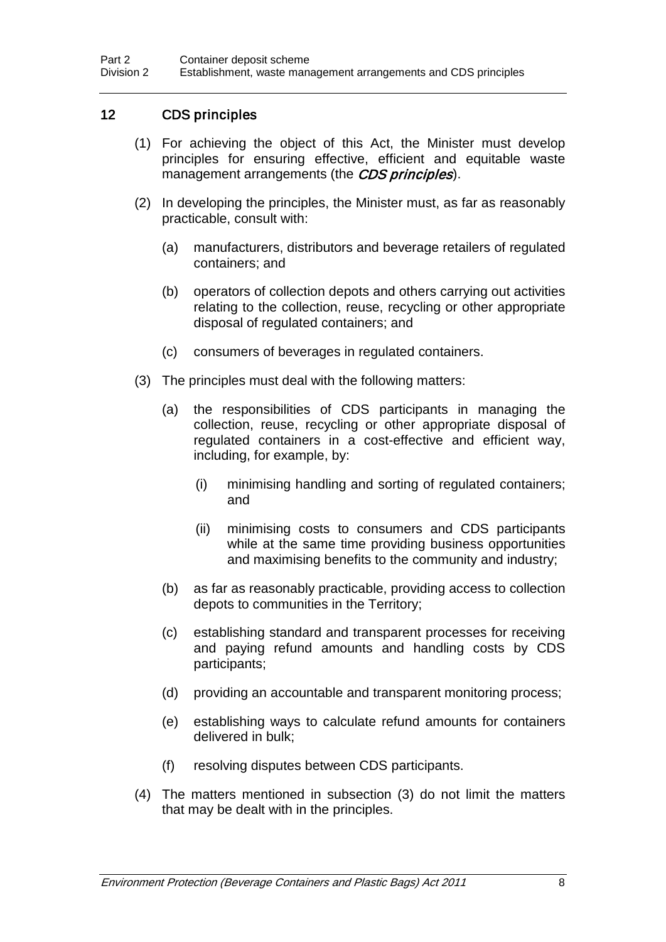## 12 CDS principles

- (1) For achieving the object of this Act, the Minister must develop principles for ensuring effective, efficient and equitable waste management arrangements (the CDS principles).
- (2) In developing the principles, the Minister must, as far as reasonably practicable, consult with:
	- (a) manufacturers, distributors and beverage retailers of regulated containers; and
	- (b) operators of collection depots and others carrying out activities relating to the collection, reuse, recycling or other appropriate disposal of regulated containers; and
	- (c) consumers of beverages in regulated containers.
- (3) The principles must deal with the following matters:
	- (a) the responsibilities of CDS participants in managing the collection, reuse, recycling or other appropriate disposal of regulated containers in a cost-effective and efficient way, including, for example, by:
		- (i) minimising handling and sorting of regulated containers; and
		- (ii) minimising costs to consumers and CDS participants while at the same time providing business opportunities and maximising benefits to the community and industry;
	- (b) as far as reasonably practicable, providing access to collection depots to communities in the Territory;
	- (c) establishing standard and transparent processes for receiving and paying refund amounts and handling costs by CDS participants;
	- (d) providing an accountable and transparent monitoring process;
	- (e) establishing ways to calculate refund amounts for containers delivered in bulk;
	- (f) resolving disputes between CDS participants.
- (4) The matters mentioned in subsection (3) do not limit the matters that may be dealt with in the principles.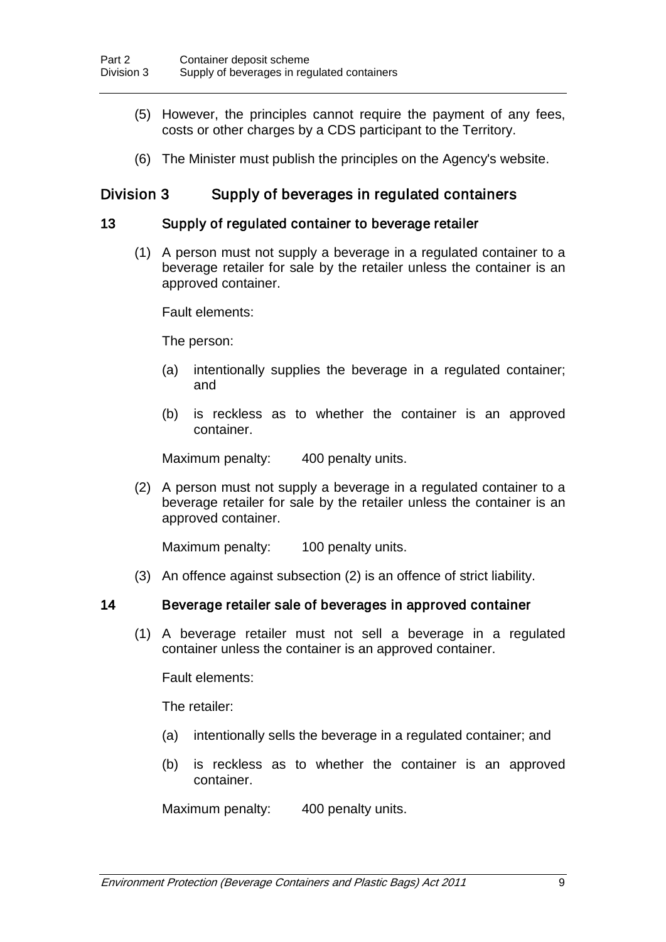- (5) However, the principles cannot require the payment of any fees, costs or other charges by a CDS participant to the Territory.
- (6) The Minister must publish the principles on the Agency's website.

## Division 3 Supply of beverages in regulated containers

#### 13 Supply of regulated container to beverage retailer

(1) A person must not supply a beverage in a regulated container to a beverage retailer for sale by the retailer unless the container is an approved container.

Fault elements:

The person:

- (a) intentionally supplies the beverage in a regulated container; and
- (b) is reckless as to whether the container is an approved container.

Maximum penalty: 400 penalty units.

(2) A person must not supply a beverage in a regulated container to a beverage retailer for sale by the retailer unless the container is an approved container.

Maximum penalty: 100 penalty units.

(3) An offence against subsection (2) is an offence of strict liability.

#### 14 Beverage retailer sale of beverages in approved container

(1) A beverage retailer must not sell a beverage in a regulated container unless the container is an approved container.

Fault elements:

The retailer:

- (a) intentionally sells the beverage in a regulated container; and
- (b) is reckless as to whether the container is an approved container.

Maximum penalty: 400 penalty units.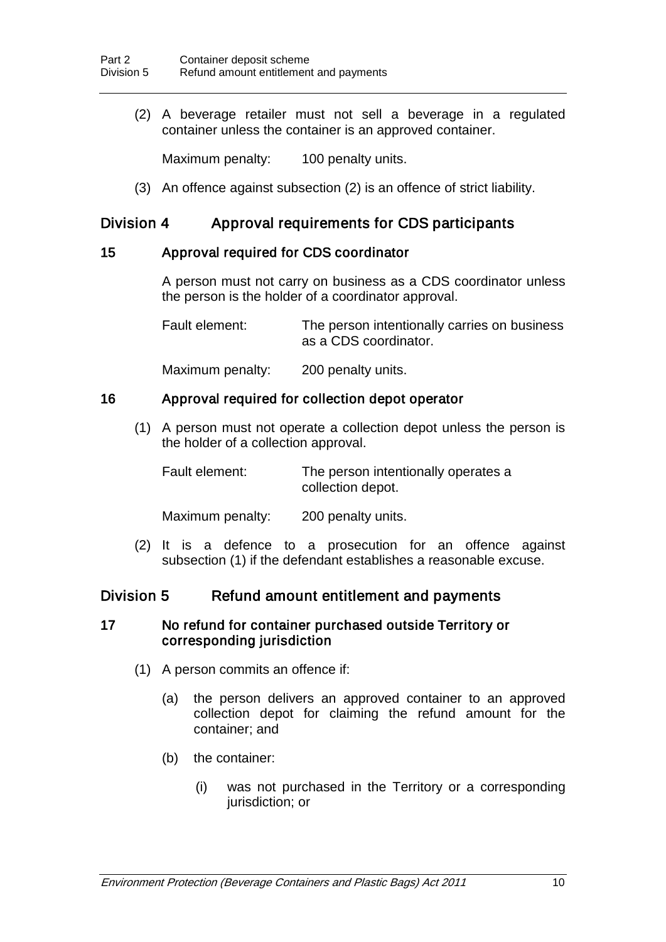(2) A beverage retailer must not sell a beverage in a regulated container unless the container is an approved container.

Maximum penalty: 100 penalty units.

(3) An offence against subsection (2) is an offence of strict liability.

## Division 4 Approval requirements for CDS participants

## 15 Approval required for CDS coordinator

A person must not carry on business as a CDS coordinator unless the person is the holder of a coordinator approval.

Fault element: The person intentionally carries on business as a CDS coordinator.

Maximum penalty: 200 penalty units.

### 16 Approval required for collection depot operator

(1) A person must not operate a collection depot unless the person is the holder of a collection approval.

| Fault element: | The person intentionally operates a |
|----------------|-------------------------------------|
|                | collection depot.                   |

Maximum penalty: 200 penalty units.

(2) It is a defence to a prosecution for an offence against subsection (1) if the defendant establishes a reasonable excuse.

## Division 5 Refund amount entitlement and payments

#### 17 No refund for container purchased outside Territory or corresponding jurisdiction

- (1) A person commits an offence if:
	- (a) the person delivers an approved container to an approved collection depot for claiming the refund amount for the container; and
	- (b) the container:
		- (i) was not purchased in the Territory or a corresponding jurisdiction; or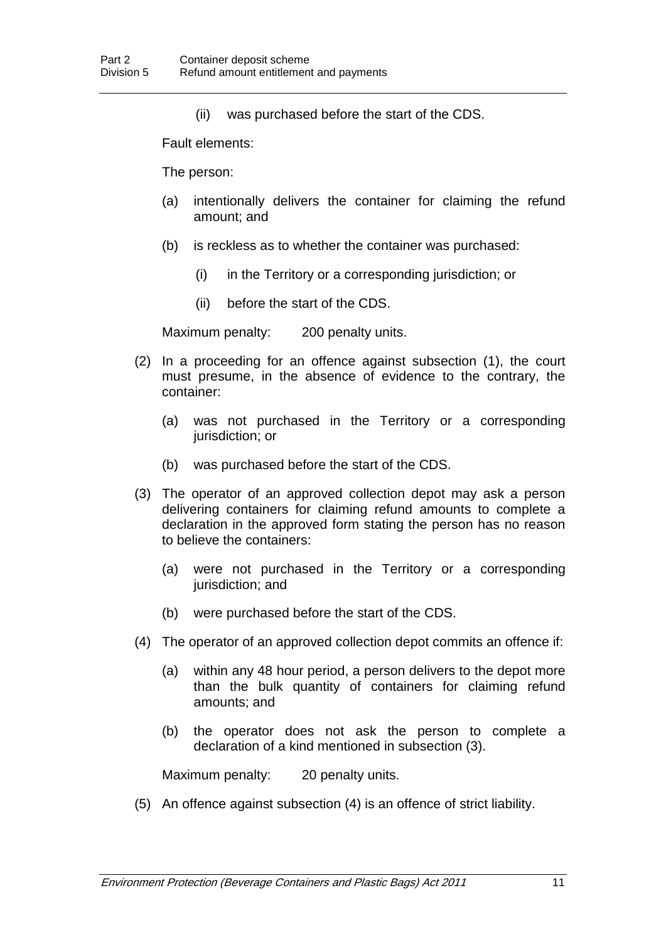(ii) was purchased before the start of the CDS.

Fault elements:

The person:

- (a) intentionally delivers the container for claiming the refund amount; and
- (b) is reckless as to whether the container was purchased:
	- (i) in the Territory or a corresponding jurisdiction; or
	- (ii) before the start of the CDS.

Maximum penalty: 200 penalty units.

- (2) In a proceeding for an offence against subsection (1), the court must presume, in the absence of evidence to the contrary, the container:
	- (a) was not purchased in the Territory or a corresponding jurisdiction; or
	- (b) was purchased before the start of the CDS.
- (3) The operator of an approved collection depot may ask a person delivering containers for claiming refund amounts to complete a declaration in the approved form stating the person has no reason to believe the containers:
	- (a) were not purchased in the Territory or a corresponding jurisdiction; and
	- (b) were purchased before the start of the CDS.
- (4) The operator of an approved collection depot commits an offence if:
	- (a) within any 48 hour period, a person delivers to the depot more than the bulk quantity of containers for claiming refund amounts; and
	- (b) the operator does not ask the person to complete a declaration of a kind mentioned in subsection (3).

Maximum penalty: 20 penalty units.

(5) An offence against subsection (4) is an offence of strict liability.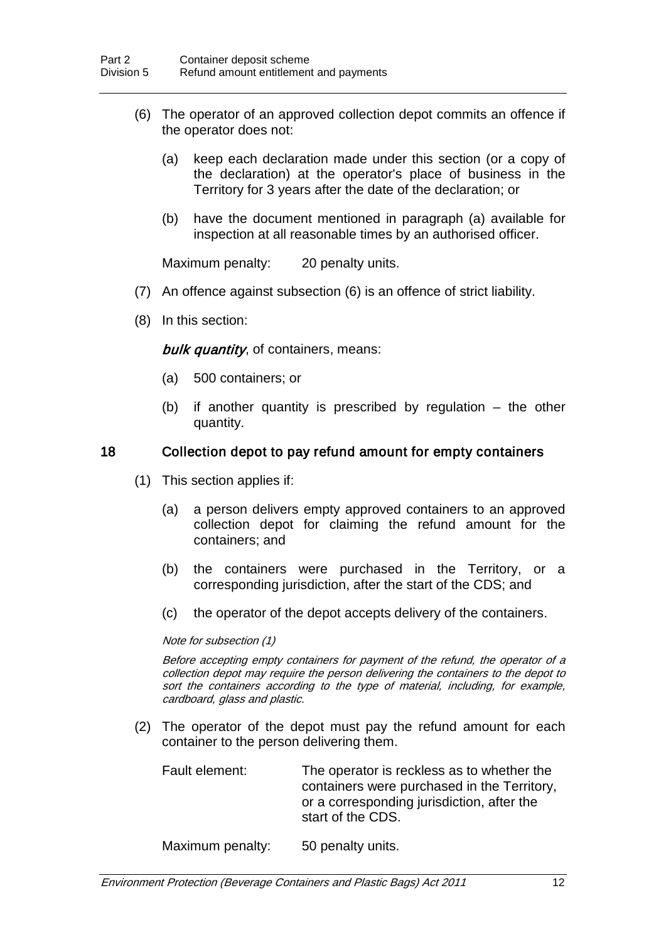- (6) The operator of an approved collection depot commits an offence if the operator does not:
	- (a) keep each declaration made under this section (or a copy of the declaration) at the operator's place of business in the Territory for 3 years after the date of the declaration; or
	- (b) have the document mentioned in paragraph (a) available for inspection at all reasonable times by an authorised officer.

Maximum penalty: 20 penalty units.

- (7) An offence against subsection (6) is an offence of strict liability.
- (8) In this section:

bulk quantity, of containers, means:

- (a) 500 containers; or
- (b) if another quantity is prescribed by regulation the other quantity.

#### 18 Collection depot to pay refund amount for empty containers

- (1) This section applies if:
	- (a) a person delivers empty approved containers to an approved collection depot for claiming the refund amount for the containers; and
	- (b) the containers were purchased in the Territory, or a corresponding jurisdiction, after the start of the CDS; and
	- (c) the operator of the depot accepts delivery of the containers.

#### Note for subsection (1)

Before accepting empty containers for payment of the refund, the operator of a collection depot may require the person delivering the containers to the depot to sort the containers according to the type of material, including, for example, cardboard, glass and plastic.

(2) The operator of the depot must pay the refund amount for each container to the person delivering them.

| Fault element: | The operator is reckless as to whether the<br>containers were purchased in the Territory, |  |
|----------------|-------------------------------------------------------------------------------------------|--|
|                | or a corresponding jurisdiction, after the<br>start of the CDS.                           |  |

Maximum penalty: 50 penalty units.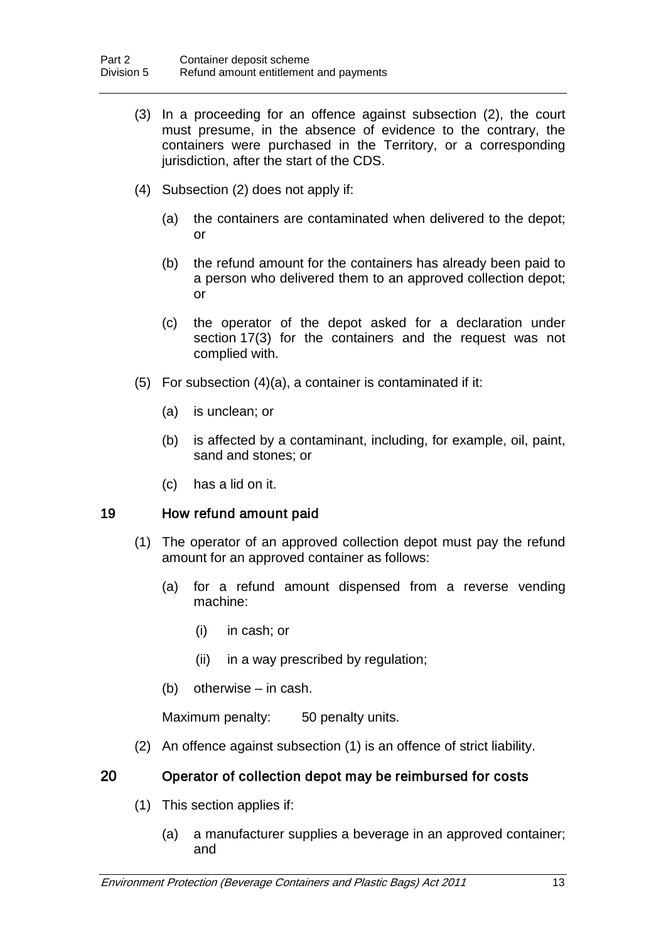- (3) In a proceeding for an offence against subsection (2), the court must presume, in the absence of evidence to the contrary, the containers were purchased in the Territory, or a corresponding jurisdiction, after the start of the CDS.
- (4) Subsection (2) does not apply if:
	- (a) the containers are contaminated when delivered to the depot; or
	- (b) the refund amount for the containers has already been paid to a person who delivered them to an approved collection depot; or
	- (c) the operator of the depot asked for a declaration under section 17(3) for the containers and the request was not complied with.
- (5) For subsection (4)(a), a container is contaminated if it:
	- (a) is unclean; or
	- (b) is affected by a contaminant, including, for example, oil, paint, sand and stones; or
	- (c) has a lid on it.

#### 19 How refund amount paid

- (1) The operator of an approved collection depot must pay the refund amount for an approved container as follows:
	- (a) for a refund amount dispensed from a reverse vending machine:
		- (i) in cash; or
		- (ii) in a way prescribed by regulation;
	- (b) otherwise in cash.

Maximum penalty: 50 penalty units.

(2) An offence against subsection (1) is an offence of strict liability.

#### 20 Operator of collection depot may be reimbursed for costs

- (1) This section applies if:
	- (a) a manufacturer supplies a beverage in an approved container; and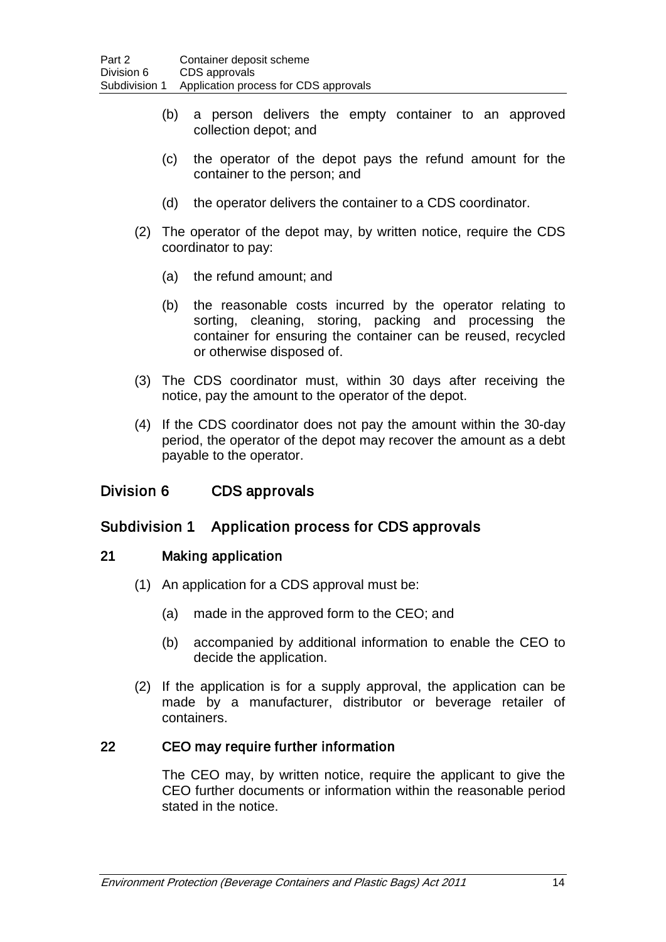- (b) a person delivers the empty container to an approved collection depot; and
- (c) the operator of the depot pays the refund amount for the container to the person; and
- (d) the operator delivers the container to a CDS coordinator.
- (2) The operator of the depot may, by written notice, require the CDS coordinator to pay:
	- (a) the refund amount; and
	- (b) the reasonable costs incurred by the operator relating to sorting, cleaning, storing, packing and processing the container for ensuring the container can be reused, recycled or otherwise disposed of.
- (3) The CDS coordinator must, within 30 days after receiving the notice, pay the amount to the operator of the depot.
- (4) If the CDS coordinator does not pay the amount within the 30-day period, the operator of the depot may recover the amount as a debt payable to the operator.

## Division 6 CDS approvals

## Subdivision 1 Application process for CDS approvals

## 21 Making application

- (1) An application for a CDS approval must be:
	- (a) made in the approved form to the CEO; and
	- (b) accompanied by additional information to enable the CEO to decide the application.
- (2) If the application is for a supply approval, the application can be made by a manufacturer, distributor or beverage retailer of containers.

## 22 CEO may require further information

The CEO may, by written notice, require the applicant to give the CEO further documents or information within the reasonable period stated in the notice.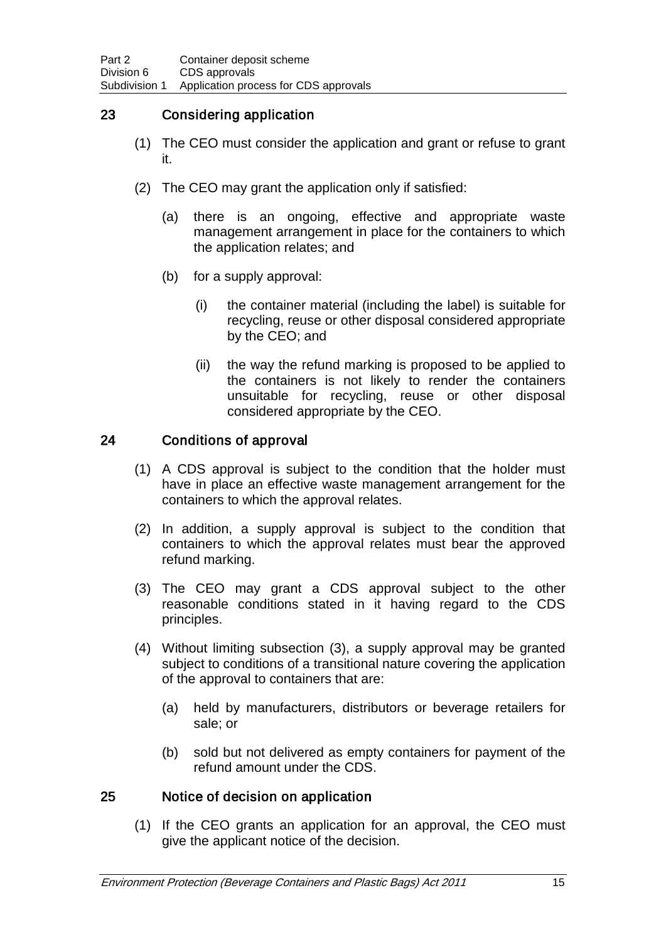## 23 Considering application

- (1) The CEO must consider the application and grant or refuse to grant it.
- (2) The CEO may grant the application only if satisfied:
	- (a) there is an ongoing, effective and appropriate waste management arrangement in place for the containers to which the application relates; and
	- (b) for a supply approval:
		- (i) the container material (including the label) is suitable for recycling, reuse or other disposal considered appropriate by the CEO; and
		- (ii) the way the refund marking is proposed to be applied to the containers is not likely to render the containers unsuitable for recycling, reuse or other disposal considered appropriate by the CEO.

## 24 Conditions of approval

- (1) A CDS approval is subject to the condition that the holder must have in place an effective waste management arrangement for the containers to which the approval relates.
- (2) In addition, a supply approval is subject to the condition that containers to which the approval relates must bear the approved refund marking.
- (3) The CEO may grant a CDS approval subject to the other reasonable conditions stated in it having regard to the CDS principles.
- (4) Without limiting subsection (3), a supply approval may be granted subject to conditions of a transitional nature covering the application of the approval to containers that are:
	- (a) held by manufacturers, distributors or beverage retailers for sale; or
	- (b) sold but not delivered as empty containers for payment of the refund amount under the CDS.

## 25 Notice of decision on application

(1) If the CEO grants an application for an approval, the CEO must give the applicant notice of the decision.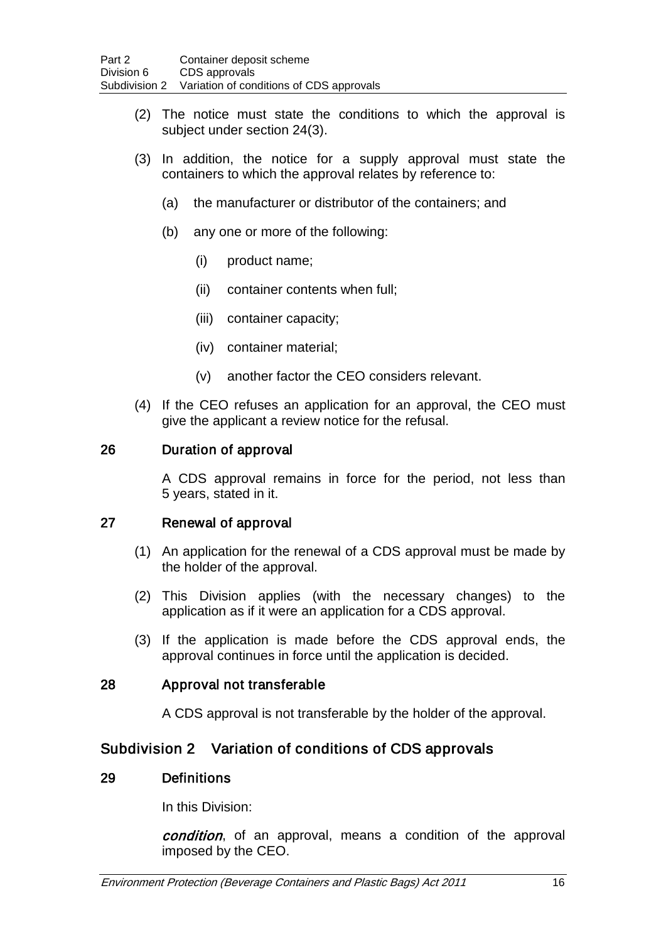- (2) The notice must state the conditions to which the approval is subject under section 24(3).
- (3) In addition, the notice for a supply approval must state the containers to which the approval relates by reference to:
	- (a) the manufacturer or distributor of the containers; and
	- (b) any one or more of the following:
		- (i) product name;
		- (ii) container contents when full;
		- (iii) container capacity;
		- (iv) container material;
		- (v) another factor the CEO considers relevant.
- (4) If the CEO refuses an application for an approval, the CEO must give the applicant a review notice for the refusal.

#### 26 Duration of approval

A CDS approval remains in force for the period, not less than 5 years, stated in it.

#### 27 Renewal of approval

- (1) An application for the renewal of a CDS approval must be made by the holder of the approval.
- (2) This Division applies (with the necessary changes) to the application as if it were an application for a CDS approval.
- (3) If the application is made before the CDS approval ends, the approval continues in force until the application is decided.

#### 28 Approval not transferable

A CDS approval is not transferable by the holder of the approval.

## Subdivision 2 Variation of conditions of CDS approvals

#### 29 Definitions

In this Division:

condition, of an approval, means a condition of the approval imposed by the CEO.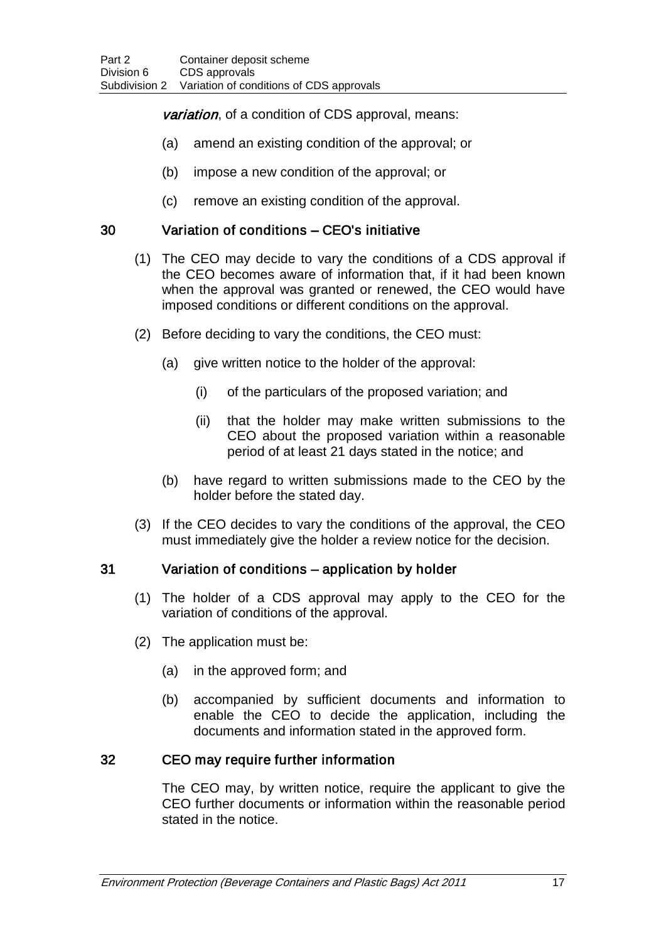## variation, of a condition of CDS approval, means:

- (a) amend an existing condition of the approval; or
- (b) impose a new condition of the approval; or
- (c) remove an existing condition of the approval.

### 30 Variation of conditions – CEO's initiative

- (1) The CEO may decide to vary the conditions of a CDS approval if the CEO becomes aware of information that, if it had been known when the approval was granted or renewed, the CEO would have imposed conditions or different conditions on the approval.
- (2) Before deciding to vary the conditions, the CEO must:
	- (a) give written notice to the holder of the approval:
		- (i) of the particulars of the proposed variation; and
		- (ii) that the holder may make written submissions to the CEO about the proposed variation within a reasonable period of at least 21 days stated in the notice; and
	- (b) have regard to written submissions made to the CEO by the holder before the stated day.
- (3) If the CEO decides to vary the conditions of the approval, the CEO must immediately give the holder a review notice for the decision.

## 31 Variation of conditions – application by holder

- (1) The holder of a CDS approval may apply to the CEO for the variation of conditions of the approval.
- (2) The application must be:
	- (a) in the approved form; and
	- (b) accompanied by sufficient documents and information to enable the CEO to decide the application, including the documents and information stated in the approved form.

## 32 CEO may require further information

The CEO may, by written notice, require the applicant to give the CEO further documents or information within the reasonable period stated in the notice.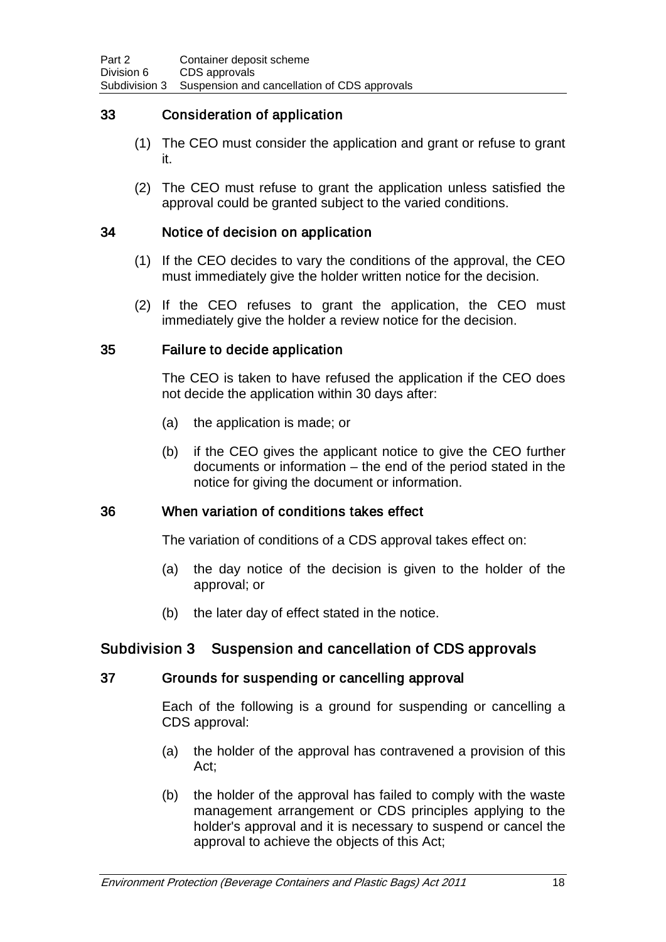## 33 Consideration of application

- (1) The CEO must consider the application and grant or refuse to grant it.
- (2) The CEO must refuse to grant the application unless satisfied the approval could be granted subject to the varied conditions.

### 34 Notice of decision on application

- (1) If the CEO decides to vary the conditions of the approval, the CEO must immediately give the holder written notice for the decision.
- (2) If the CEO refuses to grant the application, the CEO must immediately give the holder a review notice for the decision.

### 35 Failure to decide application

The CEO is taken to have refused the application if the CEO does not decide the application within 30 days after:

- (a) the application is made; or
- (b) if the CEO gives the applicant notice to give the CEO further documents or information – the end of the period stated in the notice for giving the document or information.

## 36 When variation of conditions takes effect

The variation of conditions of a CDS approval takes effect on:

- (a) the day notice of the decision is given to the holder of the approval; or
- (b) the later day of effect stated in the notice.

## Subdivision 3 Suspension and cancellation of CDS approvals

#### 37 Grounds for suspending or cancelling approval

Each of the following is a ground for suspending or cancelling a CDS approval:

- (a) the holder of the approval has contravened a provision of this Act;
- (b) the holder of the approval has failed to comply with the waste management arrangement or CDS principles applying to the holder's approval and it is necessary to suspend or cancel the approval to achieve the objects of this Act;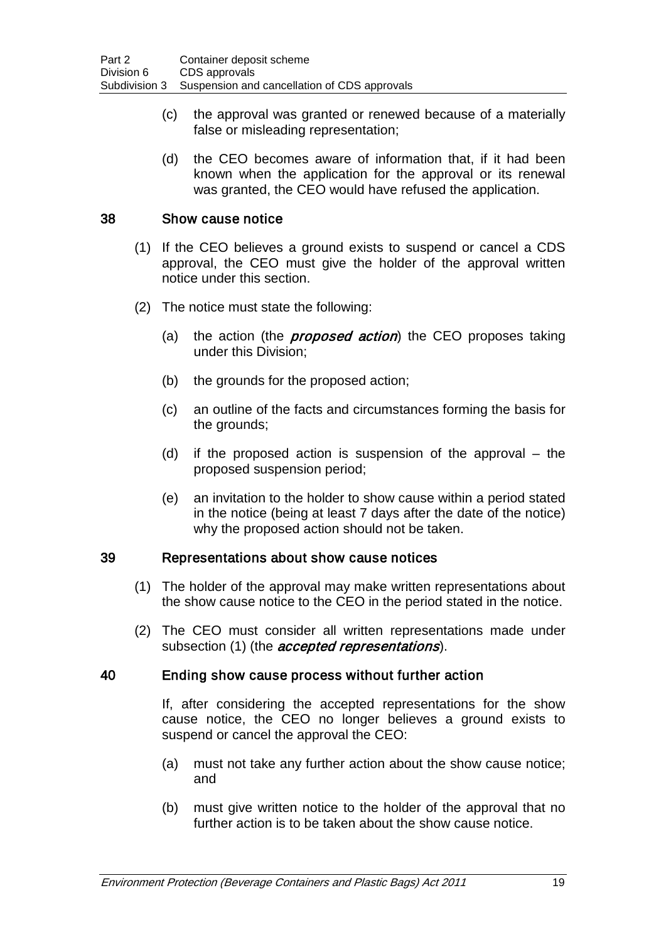- (c) the approval was granted or renewed because of a materially false or misleading representation;
- (d) the CEO becomes aware of information that, if it had been known when the application for the approval or its renewal was granted, the CEO would have refused the application.

### 38 Show cause notice

- (1) If the CEO believes a ground exists to suspend or cancel a CDS approval, the CEO must give the holder of the approval written notice under this section.
- (2) The notice must state the following:
	- (a) the action (the *proposed action*) the CEO proposes taking under this Division;
	- (b) the grounds for the proposed action;
	- (c) an outline of the facts and circumstances forming the basis for the grounds;
	- (d) if the proposed action is suspension of the approval the proposed suspension period;
	- (e) an invitation to the holder to show cause within a period stated in the notice (being at least 7 days after the date of the notice) why the proposed action should not be taken.

#### 39 Representations about show cause notices

- (1) The holder of the approval may make written representations about the show cause notice to the CEO in the period stated in the notice.
- (2) The CEO must consider all written representations made under subsection (1) (the *accepted representations*).

#### 40 Ending show cause process without further action

If, after considering the accepted representations for the show cause notice, the CEO no longer believes a ground exists to suspend or cancel the approval the CEO:

- (a) must not take any further action about the show cause notice; and
- (b) must give written notice to the holder of the approval that no further action is to be taken about the show cause notice.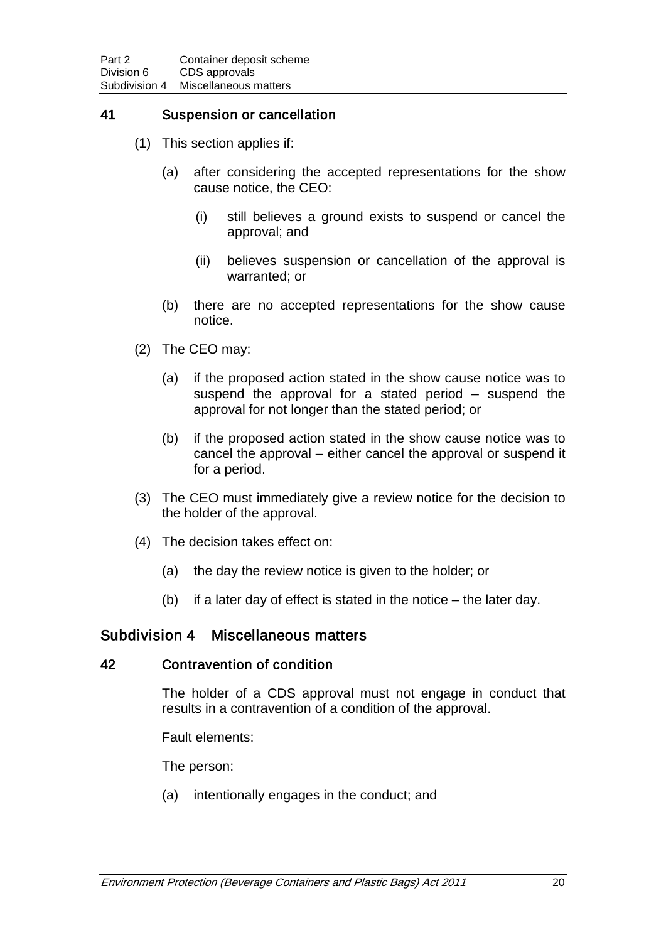### 41 Suspension or cancellation

- (1) This section applies if:
	- (a) after considering the accepted representations for the show cause notice, the CEO:
		- (i) still believes a ground exists to suspend or cancel the approval; and
		- (ii) believes suspension or cancellation of the approval is warranted; or
	- (b) there are no accepted representations for the show cause notice.
- (2) The CEO may:
	- (a) if the proposed action stated in the show cause notice was to suspend the approval for a stated period – suspend the approval for not longer than the stated period; or
	- (b) if the proposed action stated in the show cause notice was to cancel the approval – either cancel the approval or suspend it for a period.
- (3) The CEO must immediately give a review notice for the decision to the holder of the approval.
- (4) The decision takes effect on:
	- (a) the day the review notice is given to the holder; or
	- (b) if a later day of effect is stated in the notice the later day.

#### Subdivision 4 Miscellaneous matters

#### 42 Contravention of condition

The holder of a CDS approval must not engage in conduct that results in a contravention of a condition of the approval.

Fault elements:

The person:

(a) intentionally engages in the conduct; and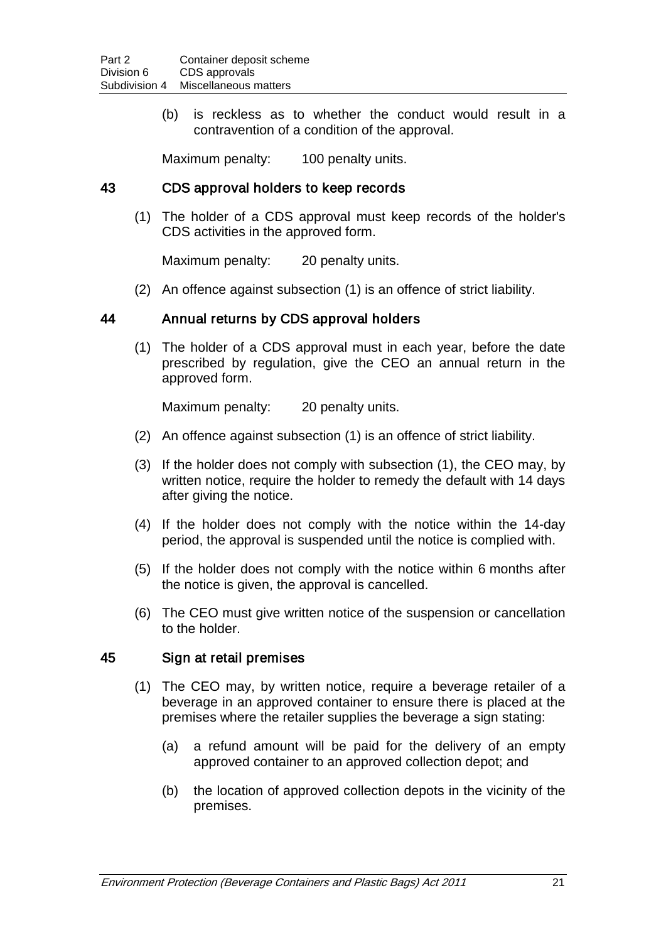(b) is reckless as to whether the conduct would result in a contravention of a condition of the approval.

Maximum penalty: 100 penalty units.

#### 43 CDS approval holders to keep records

(1) The holder of a CDS approval must keep records of the holder's CDS activities in the approved form.

Maximum penalty: 20 penalty units.

(2) An offence against subsection (1) is an offence of strict liability.

### 44 Annual returns by CDS approval holders

(1) The holder of a CDS approval must in each year, before the date prescribed by regulation, give the CEO an annual return in the approved form.

Maximum penalty: 20 penalty units.

- (2) An offence against subsection (1) is an offence of strict liability.
- (3) If the holder does not comply with subsection (1), the CEO may, by written notice, require the holder to remedy the default with 14 days after giving the notice.
- (4) If the holder does not comply with the notice within the 14-day period, the approval is suspended until the notice is complied with.
- (5) If the holder does not comply with the notice within 6 months after the notice is given, the approval is cancelled.
- (6) The CEO must give written notice of the suspension or cancellation to the holder.

#### 45 Sign at retail premises

- (1) The CEO may, by written notice, require a beverage retailer of a beverage in an approved container to ensure there is placed at the premises where the retailer supplies the beverage a sign stating:
	- (a) a refund amount will be paid for the delivery of an empty approved container to an approved collection depot; and
	- (b) the location of approved collection depots in the vicinity of the premises.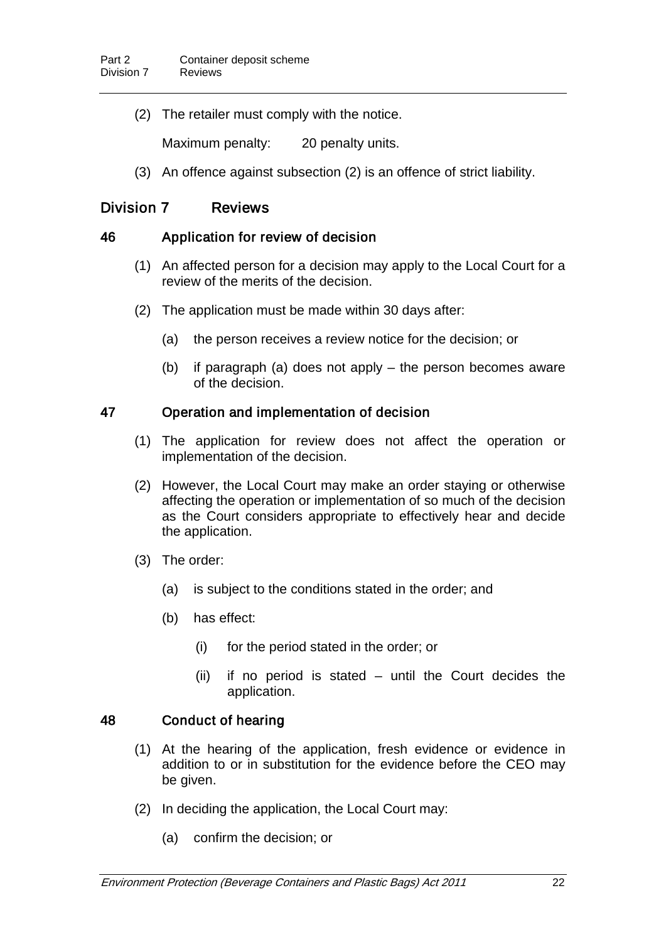(2) The retailer must comply with the notice.

Maximum penalty: 20 penalty units.

(3) An offence against subsection (2) is an offence of strict liability.

## Division 7 Reviews

### 46 Application for review of decision

- (1) An affected person for a decision may apply to the Local Court for a review of the merits of the decision.
- (2) The application must be made within 30 days after:
	- (a) the person receives a review notice for the decision; or
	- (b) if paragraph (a) does not apply the person becomes aware of the decision.

## 47 Operation and implementation of decision

- (1) The application for review does not affect the operation or implementation of the decision.
- (2) However, the Local Court may make an order staying or otherwise affecting the operation or implementation of so much of the decision as the Court considers appropriate to effectively hear and decide the application.
- (3) The order:
	- (a) is subject to the conditions stated in the order; and
	- (b) has effect:
		- (i) for the period stated in the order; or
		- (ii) if no period is stated until the Court decides the application.

## 48 Conduct of hearing

- (1) At the hearing of the application, fresh evidence or evidence in addition to or in substitution for the evidence before the CEO may be given.
- (2) In deciding the application, the Local Court may:
	- (a) confirm the decision; or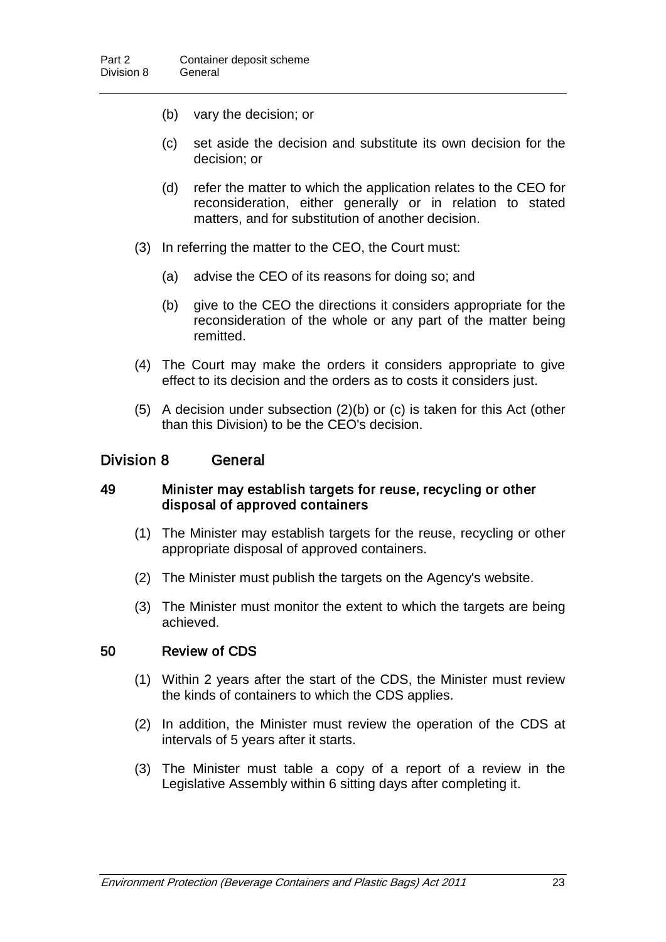- (b) vary the decision; or
- (c) set aside the decision and substitute its own decision for the decision; or
- (d) refer the matter to which the application relates to the CEO for reconsideration, either generally or in relation to stated matters, and for substitution of another decision.
- (3) In referring the matter to the CEO, the Court must:
	- (a) advise the CEO of its reasons for doing so; and
	- (b) give to the CEO the directions it considers appropriate for the reconsideration of the whole or any part of the matter being remitted.
- (4) The Court may make the orders it considers appropriate to give effect to its decision and the orders as to costs it considers just.
- (5) A decision under subsection (2)(b) or (c) is taken for this Act (other than this Division) to be the CEO's decision.

### Division 8 General

#### 49 Minister may establish targets for reuse, recycling or other disposal of approved containers

- (1) The Minister may establish targets for the reuse, recycling or other appropriate disposal of approved containers.
- (2) The Minister must publish the targets on the Agency's website.
- (3) The Minister must monitor the extent to which the targets are being achieved.

#### 50 Review of CDS

- (1) Within 2 years after the start of the CDS, the Minister must review the kinds of containers to which the CDS applies.
- (2) In addition, the Minister must review the operation of the CDS at intervals of 5 years after it starts.
- (3) The Minister must table a copy of a report of a review in the Legislative Assembly within 6 sitting days after completing it.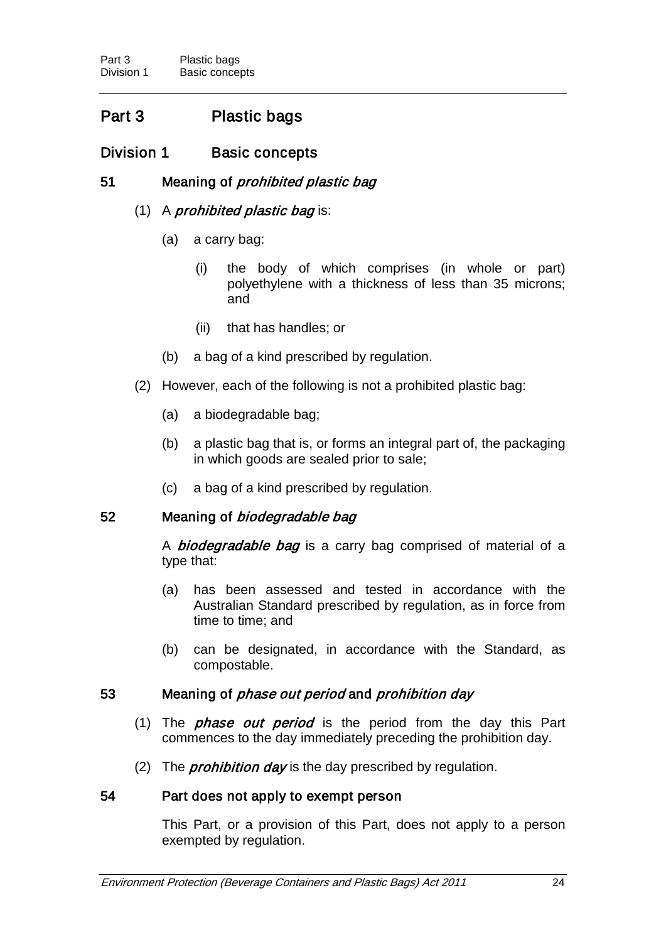# Part 3 Plastic bags

# Division 1 Basic concepts

## 51 Meaning of *prohibited plastic bag*

## $(1)$  A *prohibited plastic bag* is:

- (a) a carry bag:
	- (i) the body of which comprises (in whole or part) polyethylene with a thickness of less than 35 microns; and
	- (ii) that has handles; or
- (b) a bag of a kind prescribed by regulation.
- (2) However, each of the following is not a prohibited plastic bag:
	- (a) a biodegradable bag;
	- (b) a plastic bag that is, or forms an integral part of, the packaging in which goods are sealed prior to sale;
	- (c) a bag of a kind prescribed by regulation.

## 52 Meaning of *biodegradable bag*

A **biodegradable bag** is a carry bag comprised of material of a type that:

- (a) has been assessed and tested in accordance with the Australian Standard prescribed by regulation, as in force from time to time; and
- (b) can be designated, in accordance with the Standard, as compostable.

## 53 Meaning of phase out period and prohibition day

- (1) The *phase out period* is the period from the day this Part commences to the day immediately preceding the prohibition day.
- (2) The *prohibition day* is the day prescribed by regulation.

## 54 Part does not apply to exempt person

This Part, or a provision of this Part, does not apply to a person exempted by regulation.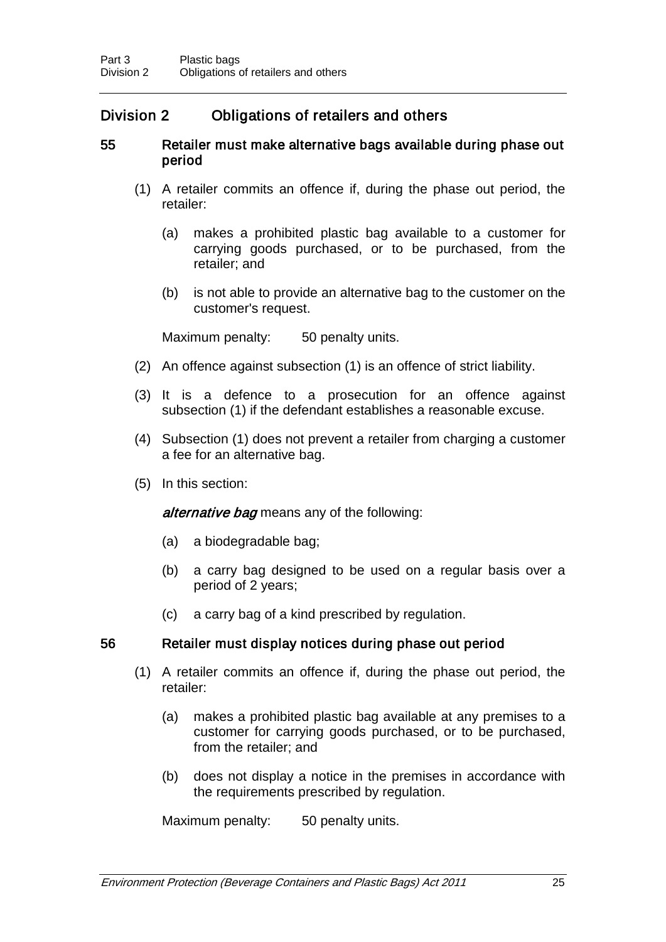# Division 2 Obligations of retailers and others

### 55 Retailer must make alternative bags available during phase out period

- (1) A retailer commits an offence if, during the phase out period, the retailer:
	- (a) makes a prohibited plastic bag available to a customer for carrying goods purchased, or to be purchased, from the retailer; and
	- (b) is not able to provide an alternative bag to the customer on the customer's request.

Maximum penalty: 50 penalty units.

- (2) An offence against subsection (1) is an offence of strict liability.
- (3) It is a defence to a prosecution for an offence against subsection (1) if the defendant establishes a reasonable excuse.
- (4) Subsection (1) does not prevent a retailer from charging a customer a fee for an alternative bag.
- (5) In this section:

alternative bag means any of the following:

- (a) a biodegradable bag;
- (b) a carry bag designed to be used on a regular basis over a period of 2 years;
- (c) a carry bag of a kind prescribed by regulation.

## 56 Retailer must display notices during phase out period

- (1) A retailer commits an offence if, during the phase out period, the retailer:
	- (a) makes a prohibited plastic bag available at any premises to a customer for carrying goods purchased, or to be purchased, from the retailer; and
	- (b) does not display a notice in the premises in accordance with the requirements prescribed by regulation.

Maximum penalty: 50 penalty units.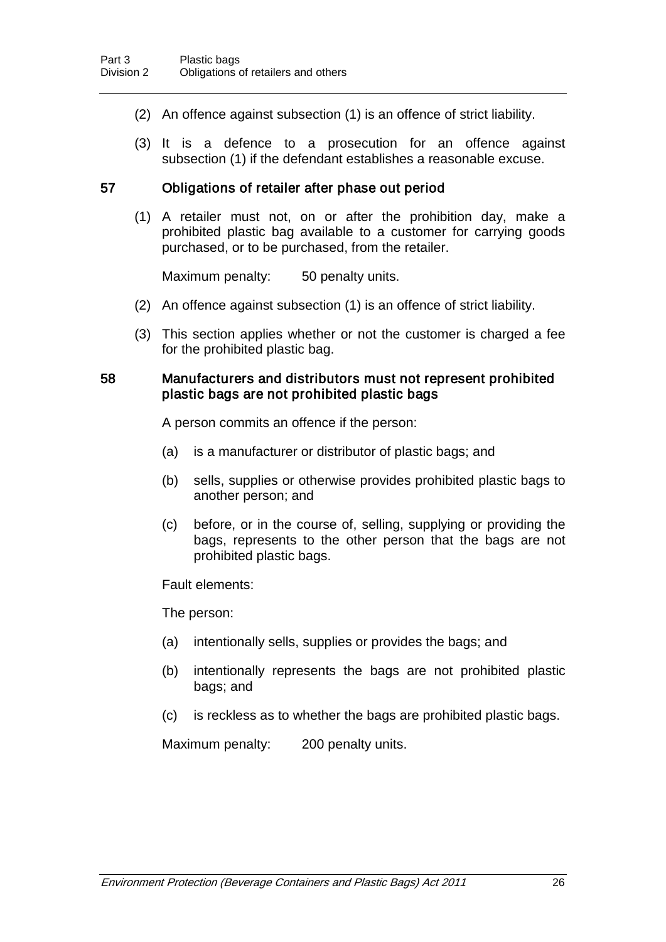- (2) An offence against subsection (1) is an offence of strict liability.
- (3) It is a defence to a prosecution for an offence against subsection (1) if the defendant establishes a reasonable excuse.

### 57 Obligations of retailer after phase out period

(1) A retailer must not, on or after the prohibition day, make a prohibited plastic bag available to a customer for carrying goods purchased, or to be purchased, from the retailer.

Maximum penalty: 50 penalty units.

- (2) An offence against subsection (1) is an offence of strict liability.
- (3) This section applies whether or not the customer is charged a fee for the prohibited plastic bag.

#### 58 Manufacturers and distributors must not represent prohibited plastic bags are not prohibited plastic bags

A person commits an offence if the person:

- (a) is a manufacturer or distributor of plastic bags; and
- (b) sells, supplies or otherwise provides prohibited plastic bags to another person; and
- (c) before, or in the course of, selling, supplying or providing the bags, represents to the other person that the bags are not prohibited plastic bags.

Fault elements:

The person:

- (a) intentionally sells, supplies or provides the bags; and
- (b) intentionally represents the bags are not prohibited plastic bags; and
- (c) is reckless as to whether the bags are prohibited plastic bags.

Maximum penalty: 200 penalty units.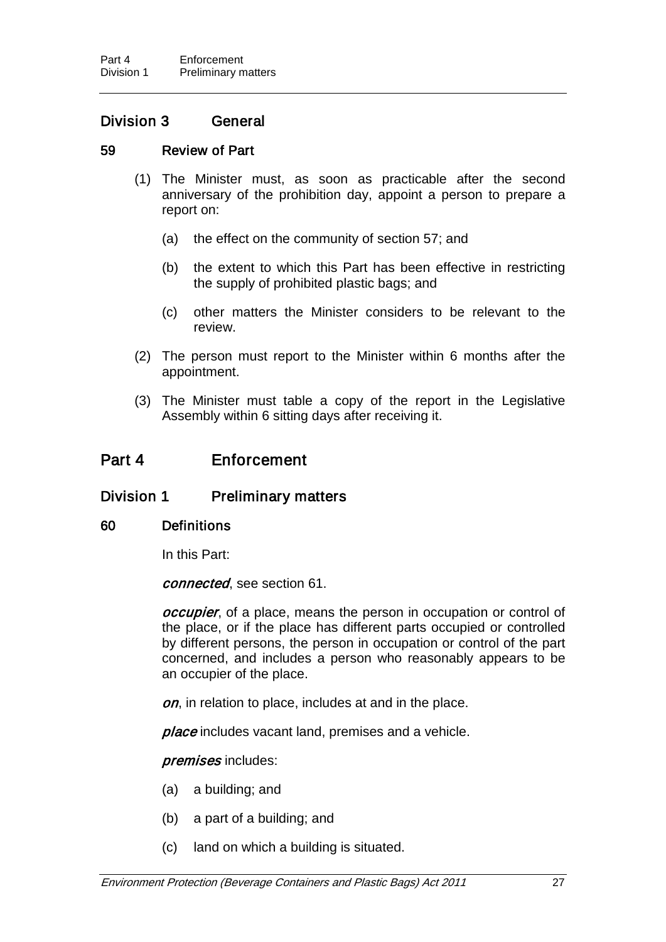### Division 3 General

#### 59 Review of Part

- (1) The Minister must, as soon as practicable after the second anniversary of the prohibition day, appoint a person to prepare a report on:
	- (a) the effect on the community of section 57; and
	- (b) the extent to which this Part has been effective in restricting the supply of prohibited plastic bags; and
	- (c) other matters the Minister considers to be relevant to the review.
- (2) The person must report to the Minister within 6 months after the appointment.
- (3) The Minister must table a copy of the report in the Legislative Assembly within 6 sitting days after receiving it.

## Part 4 Enforcement

#### Division 1 Preliminary matters

#### 60 Definitions

In this Part:

connected, see section 61.

*occupier*, of a place, means the person in occupation or control of the place, or if the place has different parts occupied or controlled by different persons, the person in occupation or control of the part concerned, and includes a person who reasonably appears to be an occupier of the place.

on, in relation to place, includes at and in the place.

place includes vacant land, premises and a vehicle.

#### premises includes:

- (a) a building; and
- (b) a part of a building; and
- (c) land on which a building is situated.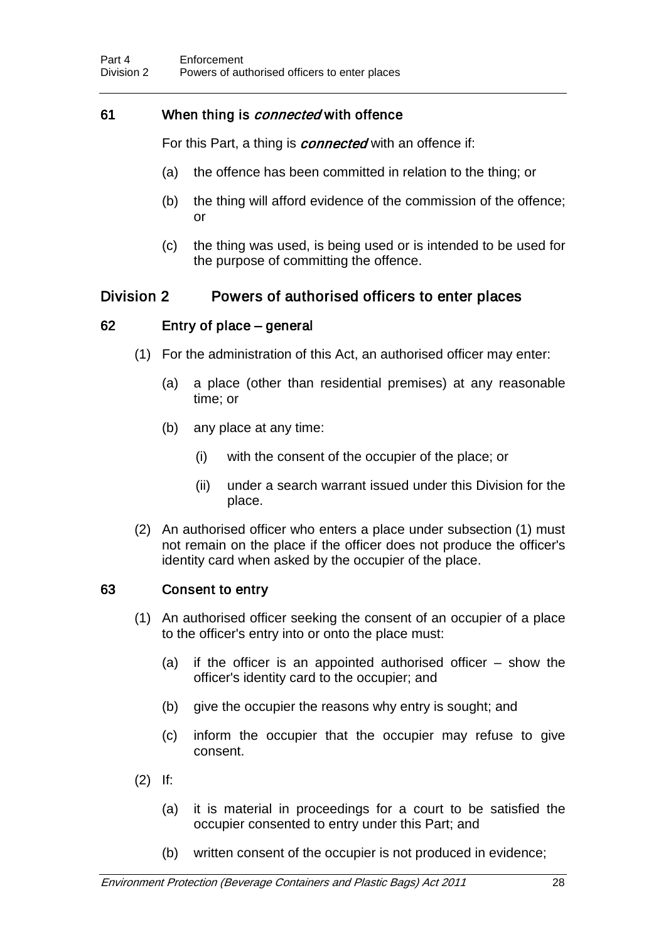## 61 When thing is *connected* with offence

For this Part, a thing is *connected* with an offence if:

- (a) the offence has been committed in relation to the thing; or
- (b) the thing will afford evidence of the commission of the offence; or
- (c) the thing was used, is being used or is intended to be used for the purpose of committing the offence.

## Division 2 Powers of authorised officers to enter places

### 62 Entry of place – general

- (1) For the administration of this Act, an authorised officer may enter:
	- (a) a place (other than residential premises) at any reasonable time; or
	- (b) any place at any time:
		- (i) with the consent of the occupier of the place; or
		- (ii) under a search warrant issued under this Division for the place.
- (2) An authorised officer who enters a place under subsection (1) must not remain on the place if the officer does not produce the officer's identity card when asked by the occupier of the place.

## 63 Consent to entry

- (1) An authorised officer seeking the consent of an occupier of a place to the officer's entry into or onto the place must:
	- (a) if the officer is an appointed authorised officer show the officer's identity card to the occupier; and
	- (b) give the occupier the reasons why entry is sought; and
	- (c) inform the occupier that the occupier may refuse to give consent.
- (2) If:
	- (a) it is material in proceedings for a court to be satisfied the occupier consented to entry under this Part; and
	- (b) written consent of the occupier is not produced in evidence;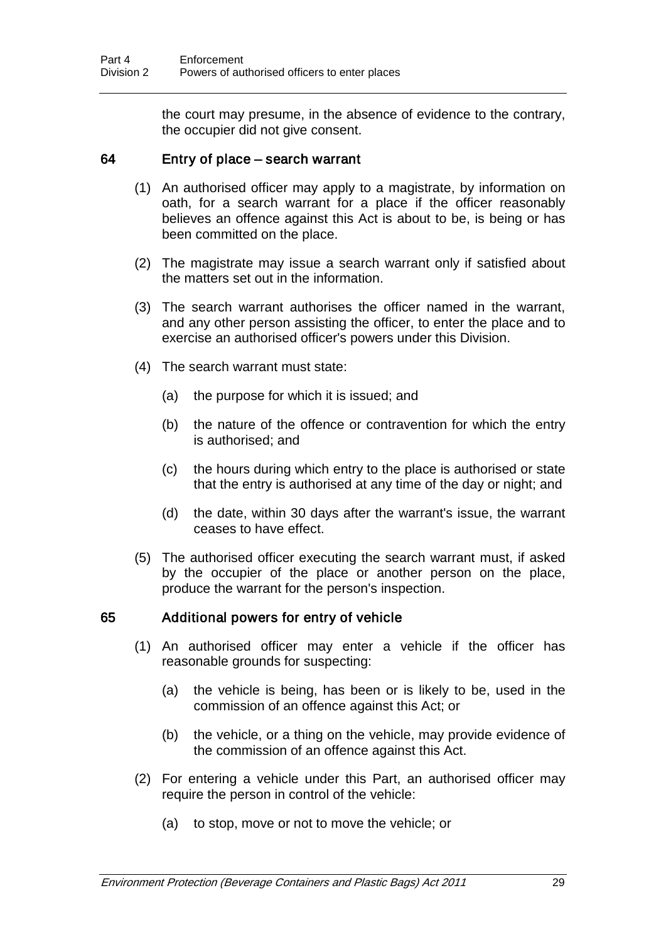the court may presume, in the absence of evidence to the contrary, the occupier did not give consent.

#### 64 Entry of place – search warrant

- (1) An authorised officer may apply to a magistrate, by information on oath, for a search warrant for a place if the officer reasonably believes an offence against this Act is about to be, is being or has been committed on the place.
- (2) The magistrate may issue a search warrant only if satisfied about the matters set out in the information.
- (3) The search warrant authorises the officer named in the warrant, and any other person assisting the officer, to enter the place and to exercise an authorised officer's powers under this Division.
- (4) The search warrant must state:
	- (a) the purpose for which it is issued; and
	- (b) the nature of the offence or contravention for which the entry is authorised; and
	- (c) the hours during which entry to the place is authorised or state that the entry is authorised at any time of the day or night; and
	- (d) the date, within 30 days after the warrant's issue, the warrant ceases to have effect.
- (5) The authorised officer executing the search warrant must, if asked by the occupier of the place or another person on the place, produce the warrant for the person's inspection.

#### 65 Additional powers for entry of vehicle

- (1) An authorised officer may enter a vehicle if the officer has reasonable grounds for suspecting:
	- (a) the vehicle is being, has been or is likely to be, used in the commission of an offence against this Act; or
	- (b) the vehicle, or a thing on the vehicle, may provide evidence of the commission of an offence against this Act.
- (2) For entering a vehicle under this Part, an authorised officer may require the person in control of the vehicle:
	- (a) to stop, move or not to move the vehicle; or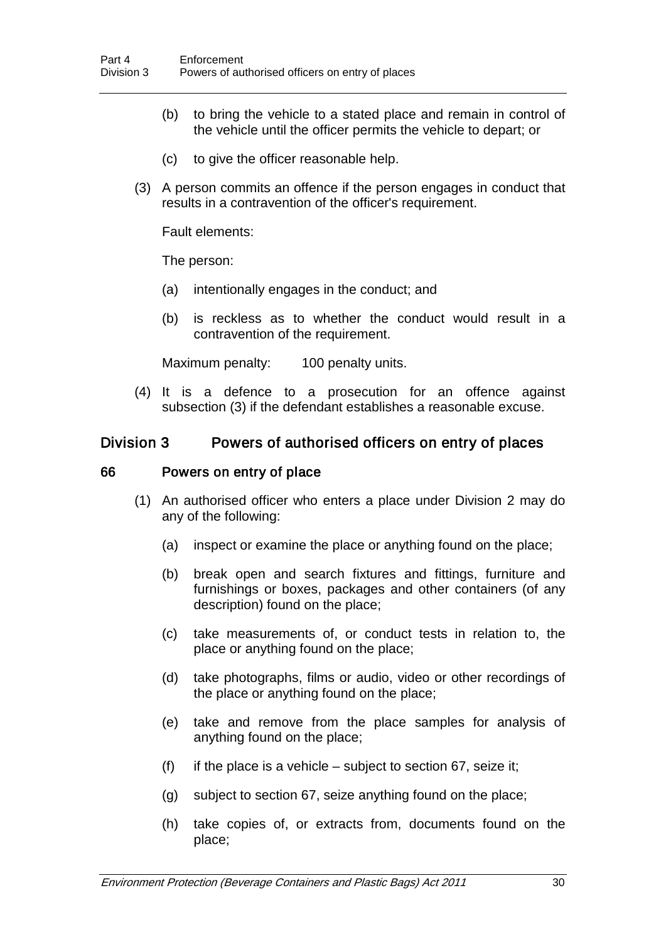- (b) to bring the vehicle to a stated place and remain in control of the vehicle until the officer permits the vehicle to depart; or
- (c) to give the officer reasonable help.
- (3) A person commits an offence if the person engages in conduct that results in a contravention of the officer's requirement.

Fault elements:

The person:

- (a) intentionally engages in the conduct; and
- (b) is reckless as to whether the conduct would result in a contravention of the requirement.

Maximum penalty: 100 penalty units.

(4) It is a defence to a prosecution for an offence against subsection (3) if the defendant establishes a reasonable excuse.

### Division 3 Powers of authorised officers on entry of places

#### 66 Powers on entry of place

- (1) An authorised officer who enters a place under Division 2 may do any of the following:
	- (a) inspect or examine the place or anything found on the place;
	- (b) break open and search fixtures and fittings, furniture and furnishings or boxes, packages and other containers (of any description) found on the place;
	- (c) take measurements of, or conduct tests in relation to, the place or anything found on the place;
	- (d) take photographs, films or audio, video or other recordings of the place or anything found on the place;
	- (e) take and remove from the place samples for analysis of anything found on the place;
	- (f) if the place is a vehicle subject to section 67, seize it;
	- (g) subject to section 67, seize anything found on the place;
	- (h) take copies of, or extracts from, documents found on the place;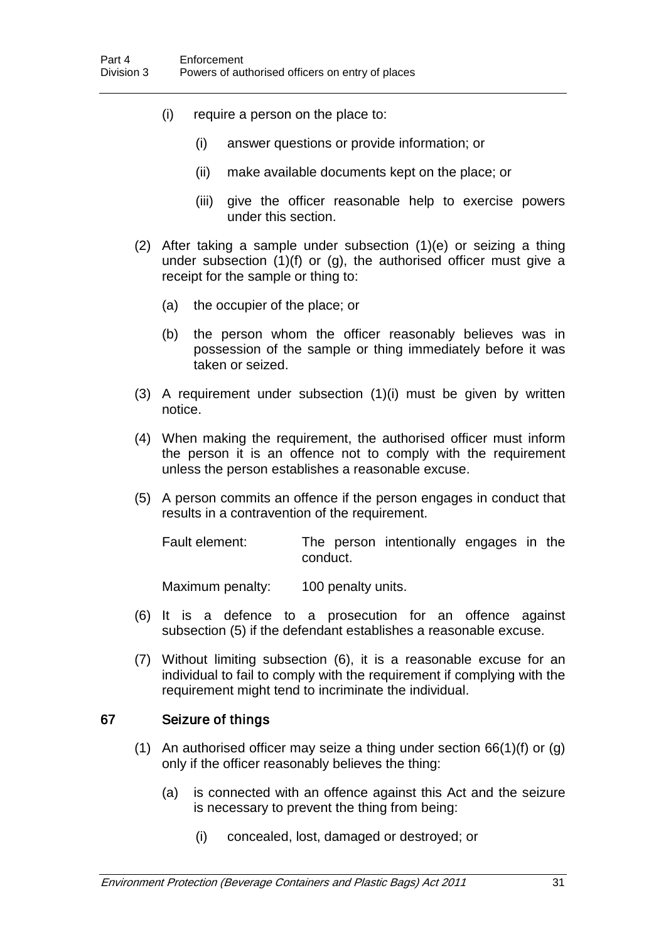- (i) require a person on the place to:
	- (i) answer questions or provide information; or
	- (ii) make available documents kept on the place; or
	- (iii) give the officer reasonable help to exercise powers under this section.
- (2) After taking a sample under subsection (1)(e) or seizing a thing under subsection (1)(f) or (g), the authorised officer must give a receipt for the sample or thing to:
	- (a) the occupier of the place; or
	- (b) the person whom the officer reasonably believes was in possession of the sample or thing immediately before it was taken or seized.
- (3) A requirement under subsection (1)(i) must be given by written notice.
- (4) When making the requirement, the authorised officer must inform the person it is an offence not to comply with the requirement unless the person establishes a reasonable excuse.
- (5) A person commits an offence if the person engages in conduct that results in a contravention of the requirement.

Fault element: The person intentionally engages in the conduct.

Maximum penalty: 100 penalty units.

- (6) It is a defence to a prosecution for an offence against subsection (5) if the defendant establishes a reasonable excuse.
- (7) Without limiting subsection (6), it is a reasonable excuse for an individual to fail to comply with the requirement if complying with the requirement might tend to incriminate the individual.

#### 67 Seizure of things

- (1) An authorised officer may seize a thing under section 66(1)(f) or (g) only if the officer reasonably believes the thing:
	- (a) is connected with an offence against this Act and the seizure is necessary to prevent the thing from being:
		- (i) concealed, lost, damaged or destroyed; or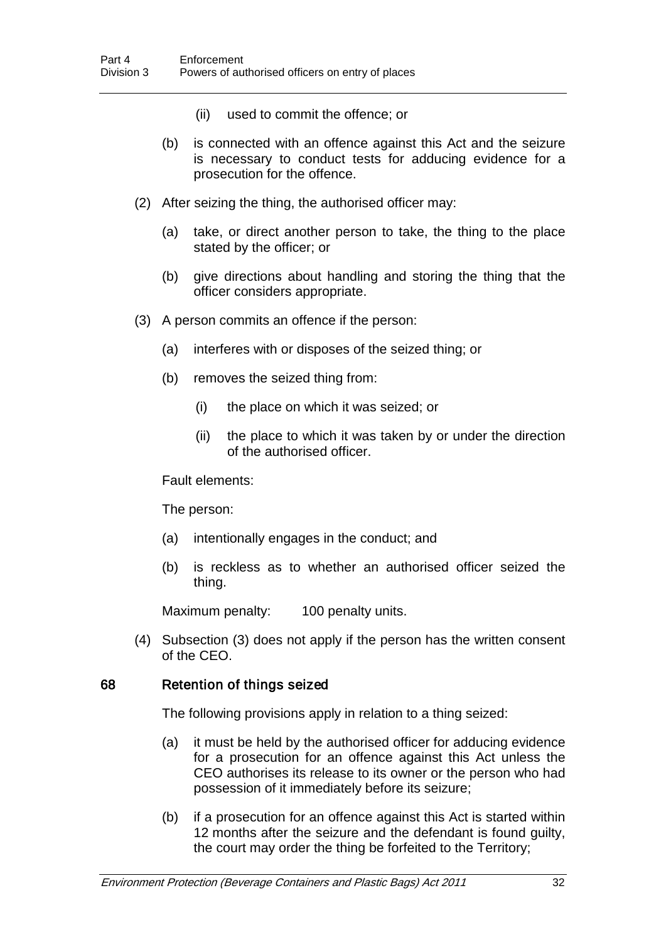- (ii) used to commit the offence; or
- (b) is connected with an offence against this Act and the seizure is necessary to conduct tests for adducing evidence for a prosecution for the offence.
- (2) After seizing the thing, the authorised officer may:
	- (a) take, or direct another person to take, the thing to the place stated by the officer; or
	- (b) give directions about handling and storing the thing that the officer considers appropriate.
- (3) A person commits an offence if the person:
	- (a) interferes with or disposes of the seized thing; or
	- (b) removes the seized thing from:
		- (i) the place on which it was seized; or
		- (ii) the place to which it was taken by or under the direction of the authorised officer.

Fault elements:

The person:

- (a) intentionally engages in the conduct; and
- (b) is reckless as to whether an authorised officer seized the thing.

Maximum penalty: 100 penalty units.

(4) Subsection (3) does not apply if the person has the written consent of the CEO.

#### 68 Retention of things seized

The following provisions apply in relation to a thing seized:

- (a) it must be held by the authorised officer for adducing evidence for a prosecution for an offence against this Act unless the CEO authorises its release to its owner or the person who had possession of it immediately before its seizure;
- (b) if a prosecution for an offence against this Act is started within 12 months after the seizure and the defendant is found guilty, the court may order the thing be forfeited to the Territory;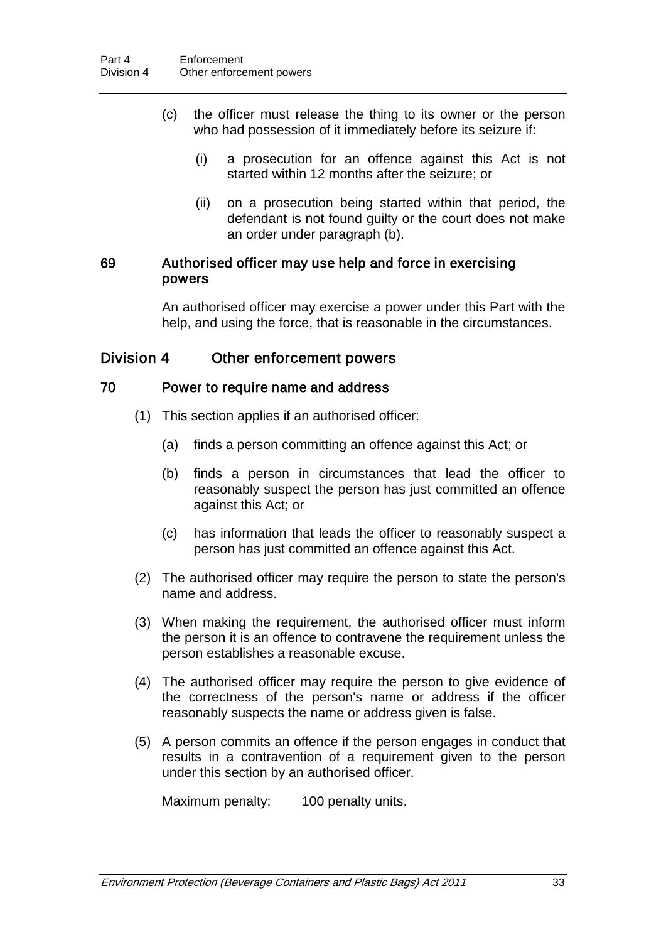- (c) the officer must release the thing to its owner or the person who had possession of it immediately before its seizure if:
	- (i) a prosecution for an offence against this Act is not started within 12 months after the seizure; or
	- (ii) on a prosecution being started within that period, the defendant is not found guilty or the court does not make an order under paragraph (b).

#### 69 Authorised officer may use help and force in exercising powers

An authorised officer may exercise a power under this Part with the help, and using the force, that is reasonable in the circumstances.

## Division 4 Other enforcement powers

### 70 Power to require name and address

- (1) This section applies if an authorised officer:
	- (a) finds a person committing an offence against this Act; or
	- (b) finds a person in circumstances that lead the officer to reasonably suspect the person has just committed an offence against this Act; or
	- (c) has information that leads the officer to reasonably suspect a person has just committed an offence against this Act.
- (2) The authorised officer may require the person to state the person's name and address.
- (3) When making the requirement, the authorised officer must inform the person it is an offence to contravene the requirement unless the person establishes a reasonable excuse.
- (4) The authorised officer may require the person to give evidence of the correctness of the person's name or address if the officer reasonably suspects the name or address given is false.
- (5) A person commits an offence if the person engages in conduct that results in a contravention of a requirement given to the person under this section by an authorised officer.

Maximum penalty: 100 penalty units.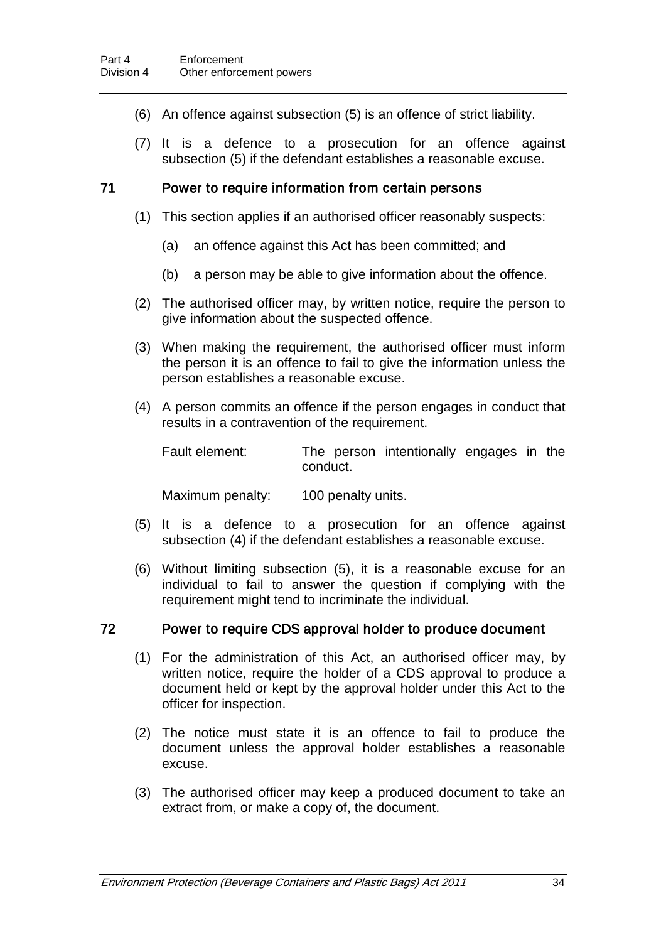- (6) An offence against subsection (5) is an offence of strict liability.
- (7) It is a defence to a prosecution for an offence against subsection (5) if the defendant establishes a reasonable excuse.

### 71 Power to require information from certain persons

- (1) This section applies if an authorised officer reasonably suspects:
	- (a) an offence against this Act has been committed; and
	- (b) a person may be able to give information about the offence.
- (2) The authorised officer may, by written notice, require the person to give information about the suspected offence.
- (3) When making the requirement, the authorised officer must inform the person it is an offence to fail to give the information unless the person establishes a reasonable excuse.
- (4) A person commits an offence if the person engages in conduct that results in a contravention of the requirement.

| Fault element: |          | The person intentionally engages in the |  |  |
|----------------|----------|-----------------------------------------|--|--|
|                | conduct. |                                         |  |  |

Maximum penalty: 100 penalty units.

- (5) It is a defence to a prosecution for an offence against subsection (4) if the defendant establishes a reasonable excuse.
- (6) Without limiting subsection (5), it is a reasonable excuse for an individual to fail to answer the question if complying with the requirement might tend to incriminate the individual.

#### 72 Power to require CDS approval holder to produce document

- (1) For the administration of this Act, an authorised officer may, by written notice, require the holder of a CDS approval to produce a document held or kept by the approval holder under this Act to the officer for inspection.
- (2) The notice must state it is an offence to fail to produce the document unless the approval holder establishes a reasonable excuse.
- (3) The authorised officer may keep a produced document to take an extract from, or make a copy of, the document.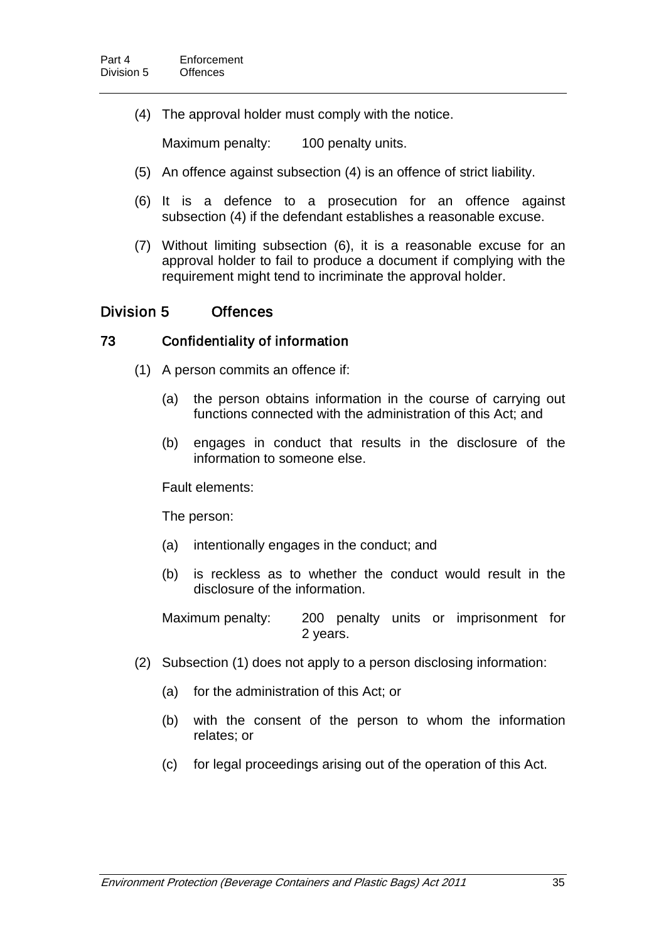(4) The approval holder must comply with the notice.

Maximum penalty: 100 penalty units.

- (5) An offence against subsection (4) is an offence of strict liability.
- (6) It is a defence to a prosecution for an offence against subsection (4) if the defendant establishes a reasonable excuse.
- (7) Without limiting subsection (6), it is a reasonable excuse for an approval holder to fail to produce a document if complying with the requirement might tend to incriminate the approval holder.

## Division 5 Offences

### 73 Confidentiality of information

- (1) A person commits an offence if:
	- (a) the person obtains information in the course of carrying out functions connected with the administration of this Act; and
	- (b) engages in conduct that results in the disclosure of the information to someone else.

Fault elements:

The person:

- (a) intentionally engages in the conduct; and
- (b) is reckless as to whether the conduct would result in the disclosure of the information.

Maximum penalty: 200 penalty units or imprisonment for 2 years.

- (2) Subsection (1) does not apply to a person disclosing information:
	- (a) for the administration of this Act; or
	- (b) with the consent of the person to whom the information relates; or
	- (c) for legal proceedings arising out of the operation of this Act.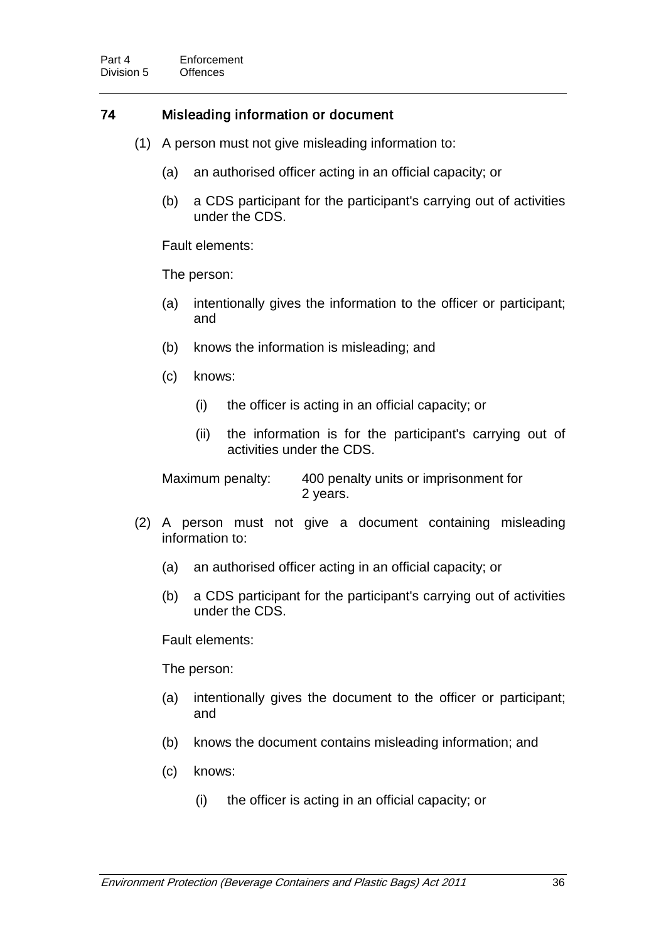## 74 Misleading information or document

- (1) A person must not give misleading information to:
	- (a) an authorised officer acting in an official capacity; or
	- (b) a CDS participant for the participant's carrying out of activities under the CDS.

Fault elements:

The person:

- (a) intentionally gives the information to the officer or participant; and
- (b) knows the information is misleading; and
- (c) knows:
	- (i) the officer is acting in an official capacity; or
	- (ii) the information is for the participant's carrying out of activities under the CDS.

Maximum penalty: 400 penalty units or imprisonment for 2 years.

- (2) A person must not give a document containing misleading information to:
	- (a) an authorised officer acting in an official capacity; or
	- (b) a CDS participant for the participant's carrying out of activities under the CDS.

Fault elements:

The person:

- (a) intentionally gives the document to the officer or participant; and
- (b) knows the document contains misleading information; and
- (c) knows:
	- (i) the officer is acting in an official capacity; or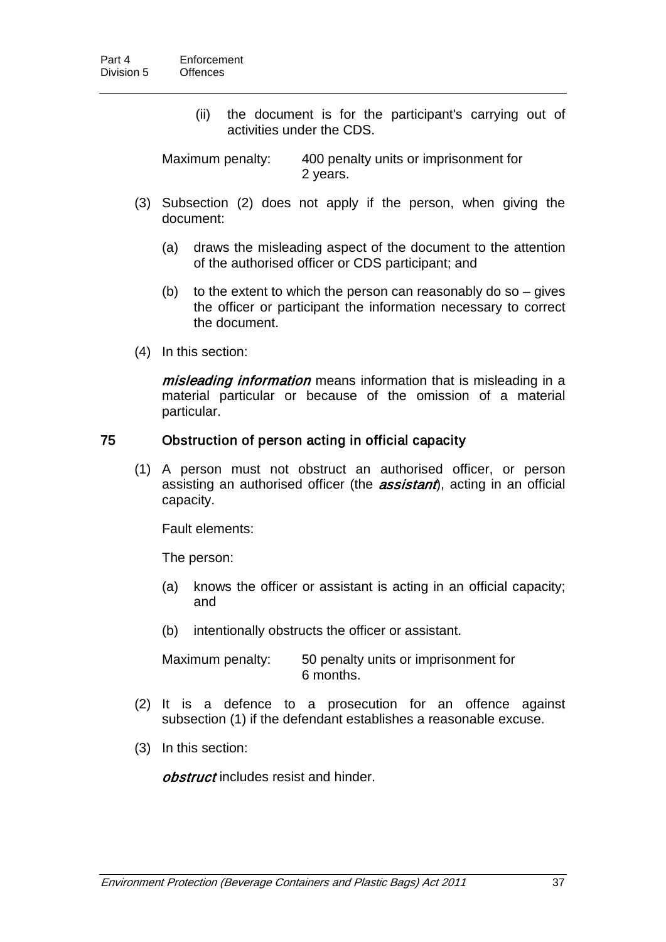(ii) the document is for the participant's carrying out of activities under the CDS.

Maximum penalty: 400 penalty units or imprisonment for 2 years.

- (3) Subsection (2) does not apply if the person, when giving the document:
	- (a) draws the misleading aspect of the document to the attention of the authorised officer or CDS participant; and
	- (b) to the extent to which the person can reasonably do so  $-$  gives the officer or participant the information necessary to correct the document.
- (4) In this section:

misleading information means information that is misleading in a material particular or because of the omission of a material particular.

#### 75 Obstruction of person acting in official capacity

(1) A person must not obstruct an authorised officer, or person assisting an authorised officer (the **assistant**), acting in an official capacity.

Fault elements:

The person:

- (a) knows the officer or assistant is acting in an official capacity; and
- (b) intentionally obstructs the officer or assistant.

Maximum penalty: 50 penalty units or imprisonment for 6 months.

- (2) It is a defence to a prosecution for an offence against subsection (1) if the defendant establishes a reasonable excuse.
- (3) In this section:

obstruct includes resist and hinder.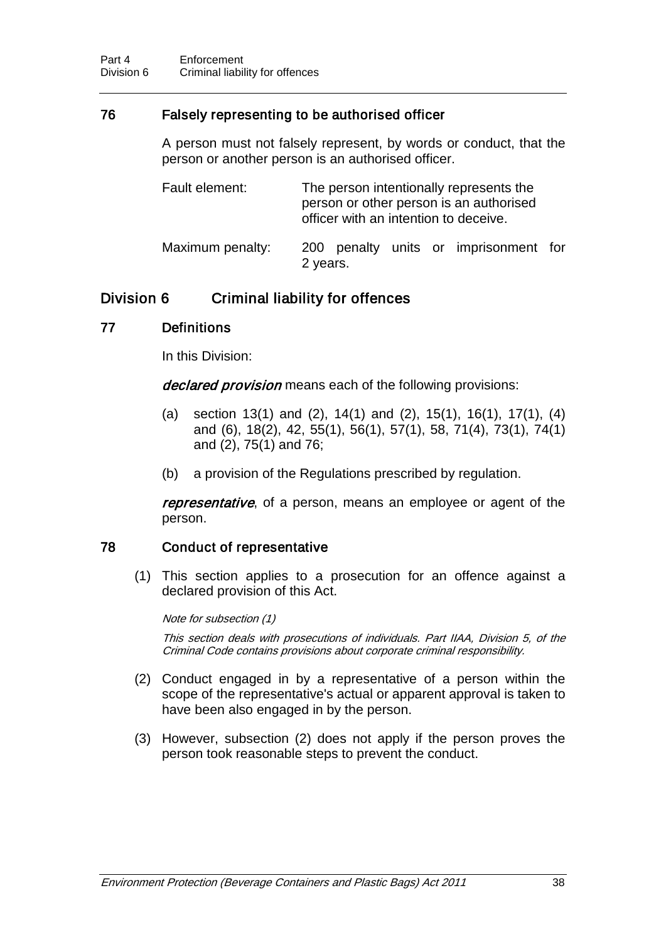## 76 Falsely representing to be authorised officer

A person must not falsely represent, by words or conduct, that the person or another person is an authorised officer.

| Fault element:   | The person intentionally represents the<br>person or other person is an authorised<br>officer with an intention to deceive. |  |  |  |
|------------------|-----------------------------------------------------------------------------------------------------------------------------|--|--|--|
| Maximum penalty: | 200 penalty units or imprisonment for<br>2 years.                                                                           |  |  |  |

# Division 6 Criminal liability for offences

## 77 Definitions

In this Division:

declared provision means each of the following provisions:

- (a) section 13(1) and (2), 14(1) and (2), 15(1), 16(1), 17(1), (4) and (6), 18(2), 42, 55(1), 56(1), 57(1), 58, 71(4), 73(1), 74(1) and (2), 75(1) and 76;
- (b) a provision of the Regulations prescribed by regulation.

representative, of a person, means an employee or agent of the person.

## 78 Conduct of representative

(1) This section applies to a prosecution for an offence against a declared provision of this Act.

Note for subsection (1)

This section deals with prosecutions of individuals. Part IIAA, Division 5, of the Criminal Code contains provisions about corporate criminal responsibility.

- (2) Conduct engaged in by a representative of a person within the scope of the representative's actual or apparent approval is taken to have been also engaged in by the person.
- (3) However, subsection (2) does not apply if the person proves the person took reasonable steps to prevent the conduct.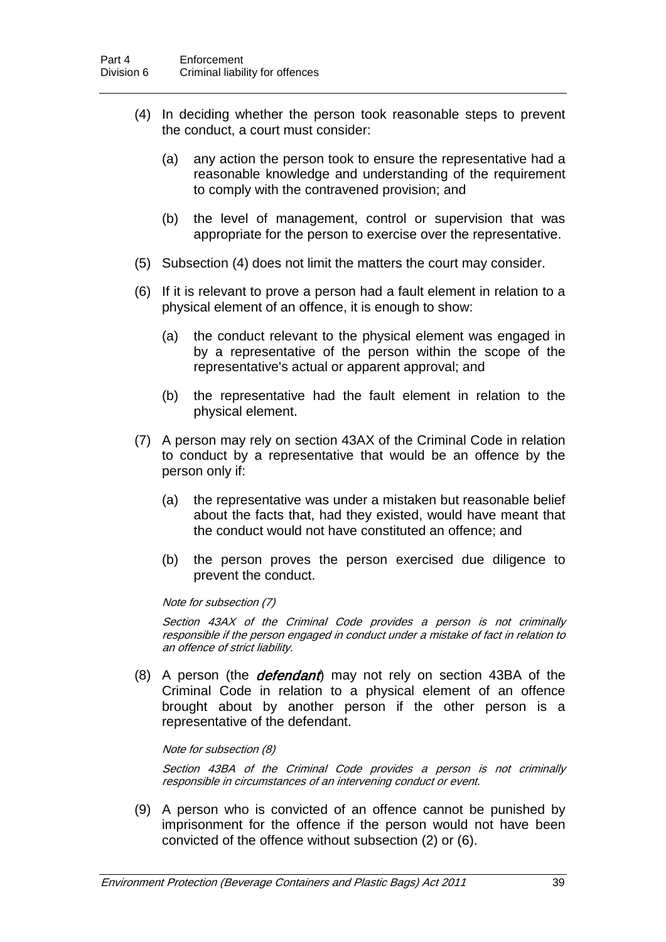- (4) In deciding whether the person took reasonable steps to prevent the conduct, a court must consider:
	- (a) any action the person took to ensure the representative had a reasonable knowledge and understanding of the requirement to comply with the contravened provision; and
	- (b) the level of management, control or supervision that was appropriate for the person to exercise over the representative.
- (5) Subsection (4) does not limit the matters the court may consider.
- (6) If it is relevant to prove a person had a fault element in relation to a physical element of an offence, it is enough to show:
	- (a) the conduct relevant to the physical element was engaged in by a representative of the person within the scope of the representative's actual or apparent approval; and
	- (b) the representative had the fault element in relation to the physical element.
- (7) A person may rely on section 43AX of the Criminal Code in relation to conduct by a representative that would be an offence by the person only if:
	- (a) the representative was under a mistaken but reasonable belief about the facts that, had they existed, would have meant that the conduct would not have constituted an offence; and
	- (b) the person proves the person exercised due diligence to prevent the conduct.

#### Note for subsection (7)

Section 43AX of the Criminal Code provides a person is not criminally responsible if the person engaged in conduct under a mistake of fact in relation to an offence of strict liability.

 $(8)$  A person (the *defendant*) may not rely on section 43BA of the Criminal Code in relation to a physical element of an offence brought about by another person if the other person is a representative of the defendant.

#### Note for subsection (8)

Section 43BA of the Criminal Code provides a person is not criminally responsible in circumstances of an intervening conduct or event.

(9) A person who is convicted of an offence cannot be punished by imprisonment for the offence if the person would not have been convicted of the offence without subsection (2) or (6).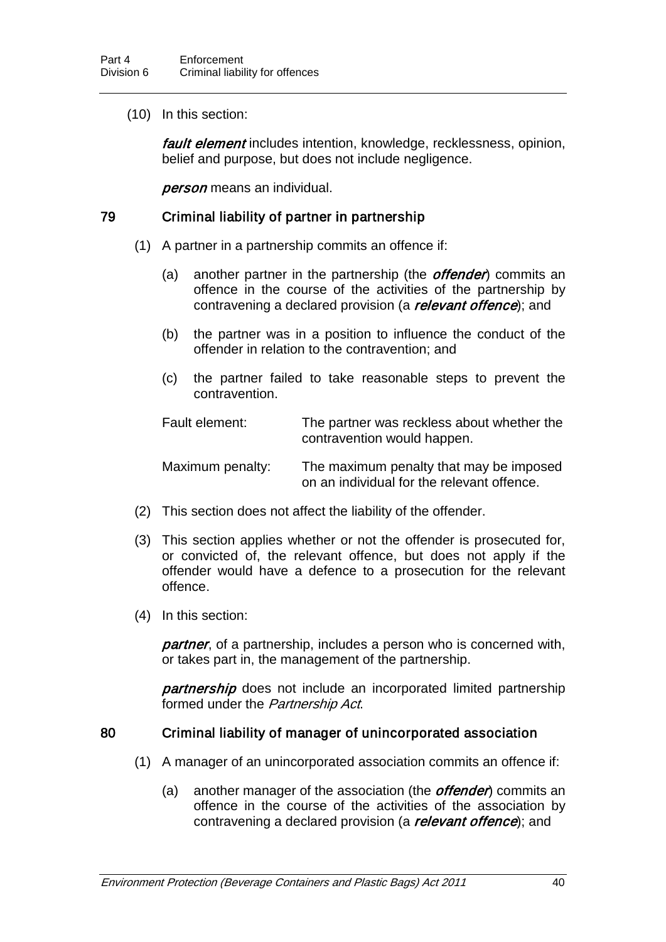(10) In this section:

*fault element* includes intention, knowledge, recklessness, opinion, belief and purpose, but does not include negligence.

**person** means an individual.

#### 79 Criminal liability of partner in partnership

- (1) A partner in a partnership commits an offence if:
	- (a) another partner in the partnership (the *offender*) commits an offence in the course of the activities of the partnership by contravening a declared provision (a *relevant offence*); and
	- (b) the partner was in a position to influence the conduct of the offender in relation to the contravention; and
	- (c) the partner failed to take reasonable steps to prevent the contravention.

Fault element: The partner was reckless about whether the contravention would happen. Maximum penalty: The maximum penalty that may be imposed

on an individual for the relevant offence.

- (2) This section does not affect the liability of the offender.
- (3) This section applies whether or not the offender is prosecuted for, or convicted of, the relevant offence, but does not apply if the offender would have a defence to a prosecution for the relevant offence.
- (4) In this section:

**partner**, of a partnership, includes a person who is concerned with, or takes part in, the management of the partnership.

**partnership** does not include an incorporated limited partnership formed under the Partnership Act.

#### 80 Criminal liability of manager of unincorporated association

- (1) A manager of an unincorporated association commits an offence if:
	- (a) another manager of the association (the *offender*) commits an offence in the course of the activities of the association by contravening a declared provision (a *relevant offence*); and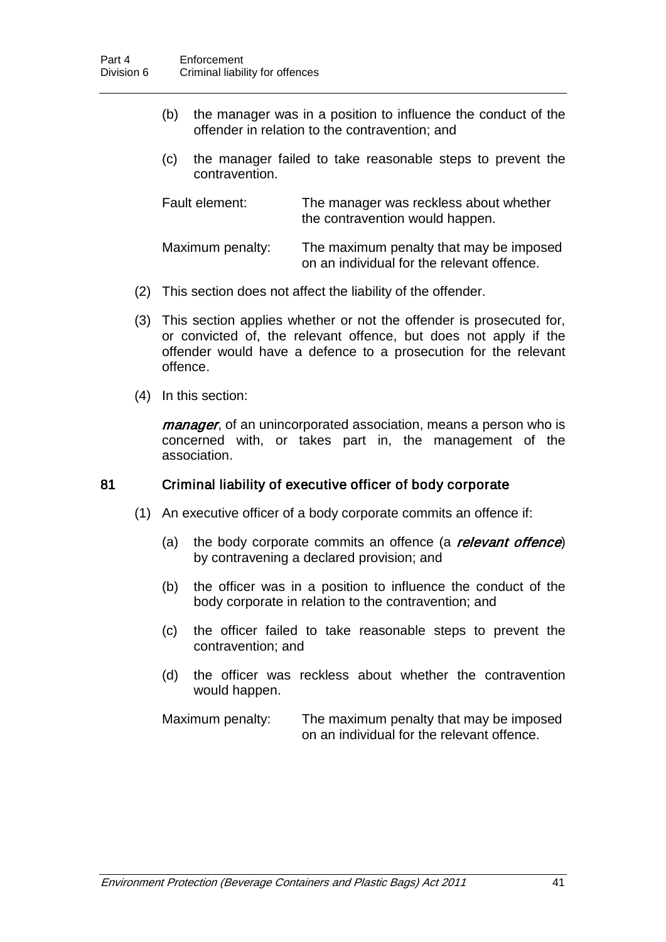- (b) the manager was in a position to influence the conduct of the offender in relation to the contravention; and
- (c) the manager failed to take reasonable steps to prevent the contravention.

| Fault element:   | The manager was reckless about whether<br>the contravention would happen.             |
|------------------|---------------------------------------------------------------------------------------|
| Maximum penalty: | The maximum penalty that may be imposed<br>on an individual for the relevant offence. |

- (2) This section does not affect the liability of the offender.
- (3) This section applies whether or not the offender is prosecuted for, or convicted of, the relevant offence, but does not apply if the offender would have a defence to a prosecution for the relevant offence.
- (4) In this section:

*manager*, of an unincorporated association, means a person who is concerned with, or takes part in, the management of the association.

#### 81 Criminal liability of executive officer of body corporate

- (1) An executive officer of a body corporate commits an offence if:
	- (a) the body corporate commits an offence (a **relevant offence**) by contravening a declared provision; and
	- (b) the officer was in a position to influence the conduct of the body corporate in relation to the contravention; and
	- (c) the officer failed to take reasonable steps to prevent the contravention; and
	- (d) the officer was reckless about whether the contravention would happen.

Maximum penalty: The maximum penalty that may be imposed on an individual for the relevant offence.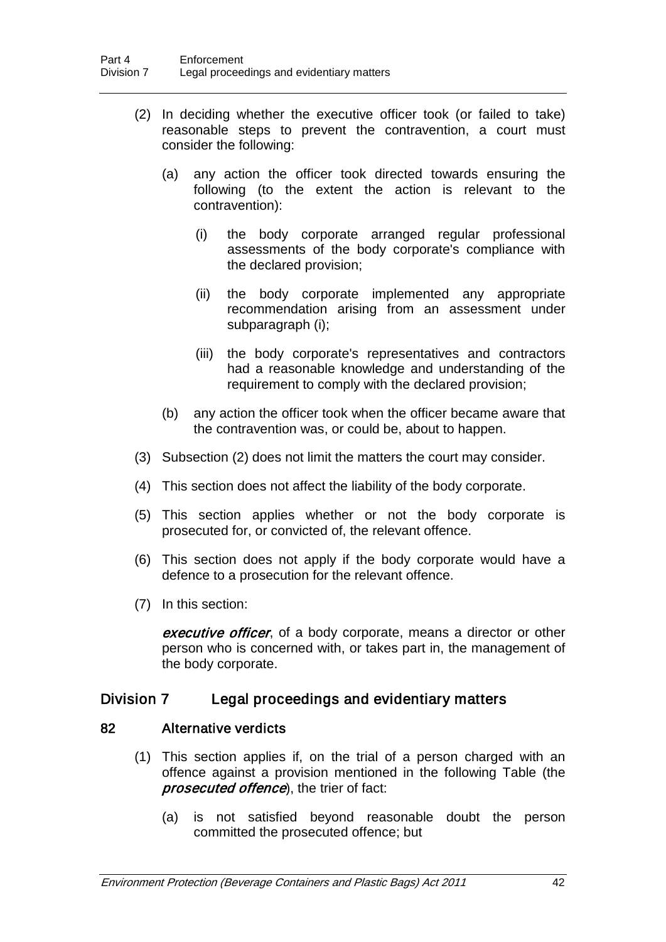- (2) In deciding whether the executive officer took (or failed to take) reasonable steps to prevent the contravention, a court must consider the following:
	- (a) any action the officer took directed towards ensuring the following (to the extent the action is relevant to the contravention):
		- (i) the body corporate arranged regular professional assessments of the body corporate's compliance with the declared provision;
		- (ii) the body corporate implemented any appropriate recommendation arising from an assessment under subparagraph (i);
		- (iii) the body corporate's representatives and contractors had a reasonable knowledge and understanding of the requirement to comply with the declared provision;
	- (b) any action the officer took when the officer became aware that the contravention was, or could be, about to happen.
- (3) Subsection (2) does not limit the matters the court may consider.
- (4) This section does not affect the liability of the body corporate.
- (5) This section applies whether or not the body corporate is prosecuted for, or convicted of, the relevant offence.
- (6) This section does not apply if the body corporate would have a defence to a prosecution for the relevant offence.
- (7) In this section:

executive officer, of a body corporate, means a director or other person who is concerned with, or takes part in, the management of the body corporate.

## Division 7 Legal proceedings and evidentiary matters

#### 82 Alternative verdicts

- (1) This section applies if, on the trial of a person charged with an offence against a provision mentioned in the following Table (the prosecuted offence), the trier of fact:
	- (a) is not satisfied beyond reasonable doubt the person committed the prosecuted offence; but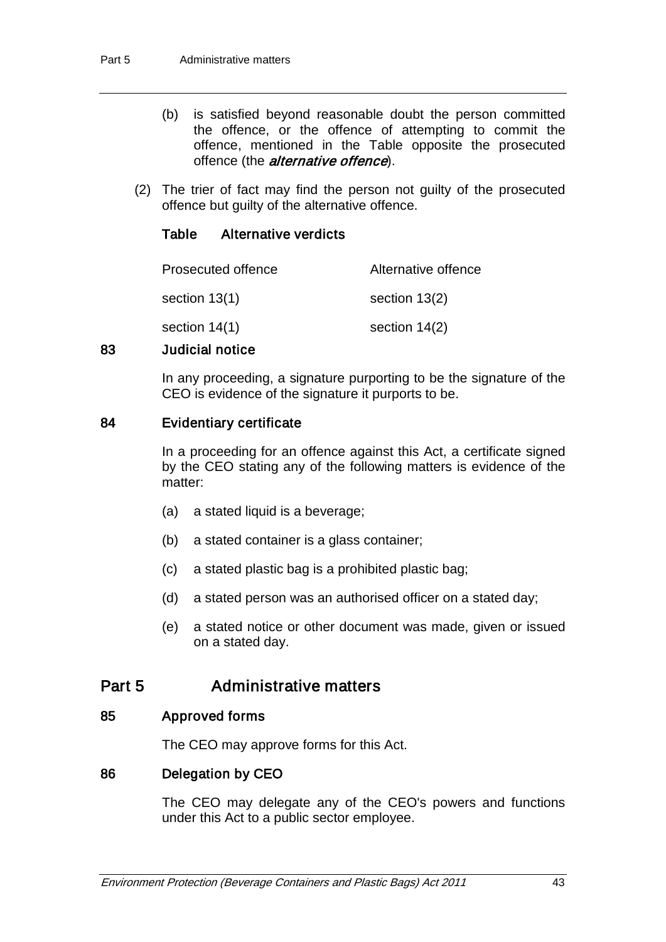- (b) is satisfied beyond reasonable doubt the person committed the offence, or the offence of attempting to commit the offence, mentioned in the Table opposite the prosecuted offence (the *alternative offence*).
- (2) The trier of fact may find the person not guilty of the prosecuted offence but guilty of the alternative offence.

#### Table Alternative verdicts

| Prosecuted offence | Alternative offence |
|--------------------|---------------------|
| section 13(1)      | section 13(2)       |
| section $14(1)$    | section $14(2)$     |

#### 83 Judicial notice

In any proceeding, a signature purporting to be the signature of the CEO is evidence of the signature it purports to be.

#### 84 Evidentiary certificate

In a proceeding for an offence against this Act, a certificate signed by the CEO stating any of the following matters is evidence of the matter:

- (a) a stated liquid is a beverage;
- (b) a stated container is a glass container;
- (c) a stated plastic bag is a prohibited plastic bag;
- (d) a stated person was an authorised officer on a stated day;
- (e) a stated notice or other document was made, given or issued on a stated day.

## Part 5 Administrative matters

#### 85 Approved forms

The CEO may approve forms for this Act.

#### 86 Delegation by CEO

The CEO may delegate any of the CEO's powers and functions under this Act to a public sector employee.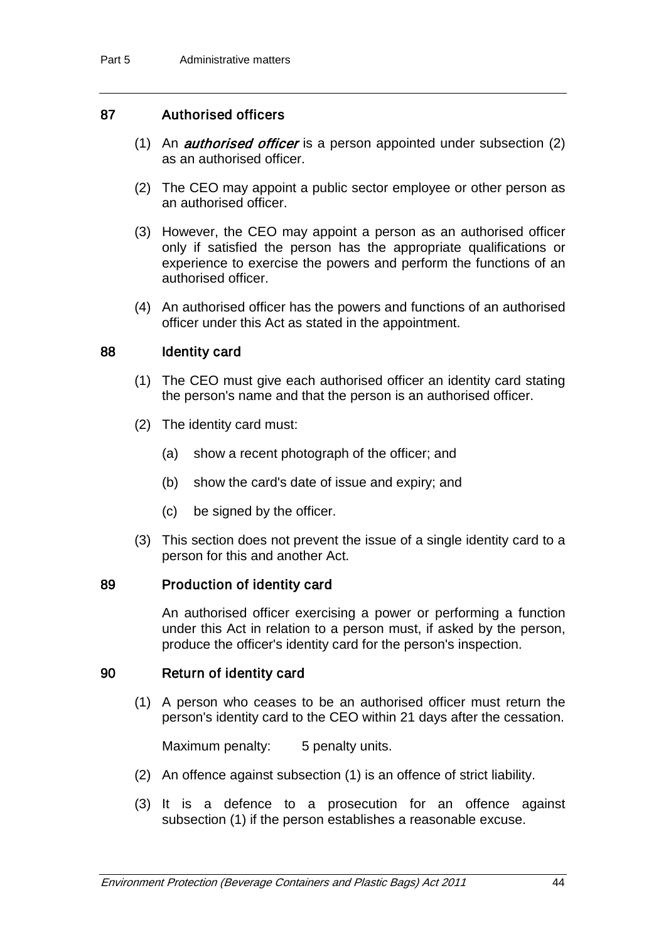## 87 Authorised officers

- (1) An *authorised officer* is a person appointed under subsection  $(2)$ as an authorised officer.
- (2) The CEO may appoint a public sector employee or other person as an authorised officer.
- (3) However, the CEO may appoint a person as an authorised officer only if satisfied the person has the appropriate qualifications or experience to exercise the powers and perform the functions of an authorised officer.
- (4) An authorised officer has the powers and functions of an authorised officer under this Act as stated in the appointment.

#### 88 Identity card

- (1) The CEO must give each authorised officer an identity card stating the person's name and that the person is an authorised officer.
- (2) The identity card must:
	- (a) show a recent photograph of the officer; and
	- (b) show the card's date of issue and expiry; and
	- (c) be signed by the officer.
- (3) This section does not prevent the issue of a single identity card to a person for this and another Act.

#### 89 Production of identity card

An authorised officer exercising a power or performing a function under this Act in relation to a person must, if asked by the person, produce the officer's identity card for the person's inspection.

#### 90 Return of identity card

(1) A person who ceases to be an authorised officer must return the person's identity card to the CEO within 21 days after the cessation.

Maximum penalty: 5 penalty units.

- (2) An offence against subsection (1) is an offence of strict liability.
- (3) It is a defence to a prosecution for an offence against subsection (1) if the person establishes a reasonable excuse.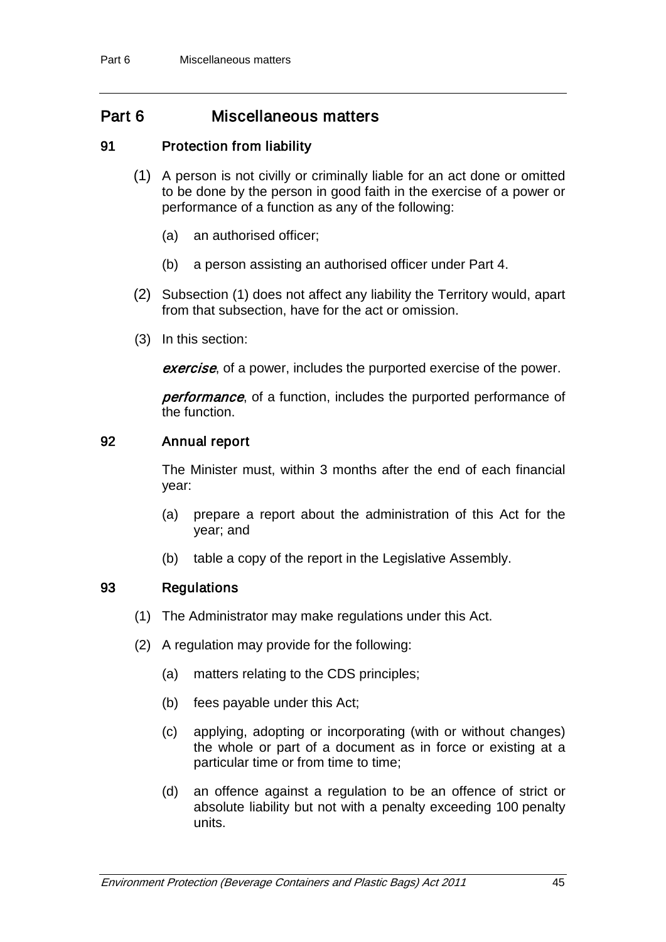# Part 6 Miscellaneous matters

### 91 Protection from liability

- (1) A person is not civilly or criminally liable for an act done or omitted to be done by the person in good faith in the exercise of a power or performance of a function as any of the following:
	- (a) an authorised officer;
	- (b) a person assisting an authorised officer under Part 4.
- (2) Subsection (1) does not affect any liability the Territory would, apart from that subsection, have for the act or omission.
- (3) In this section:

exercise, of a power, includes the purported exercise of the power.

performance, of a function, includes the purported performance of the function.

## 92 Annual report

The Minister must, within 3 months after the end of each financial year:

- (a) prepare a report about the administration of this Act for the year; and
- (b) table a copy of the report in the Legislative Assembly.

## 93 Regulations

- (1) The Administrator may make regulations under this Act.
- (2) A regulation may provide for the following:
	- (a) matters relating to the CDS principles;
	- (b) fees payable under this Act;
	- (c) applying, adopting or incorporating (with or without changes) the whole or part of a document as in force or existing at a particular time or from time to time;
	- (d) an offence against a regulation to be an offence of strict or absolute liability but not with a penalty exceeding 100 penalty units.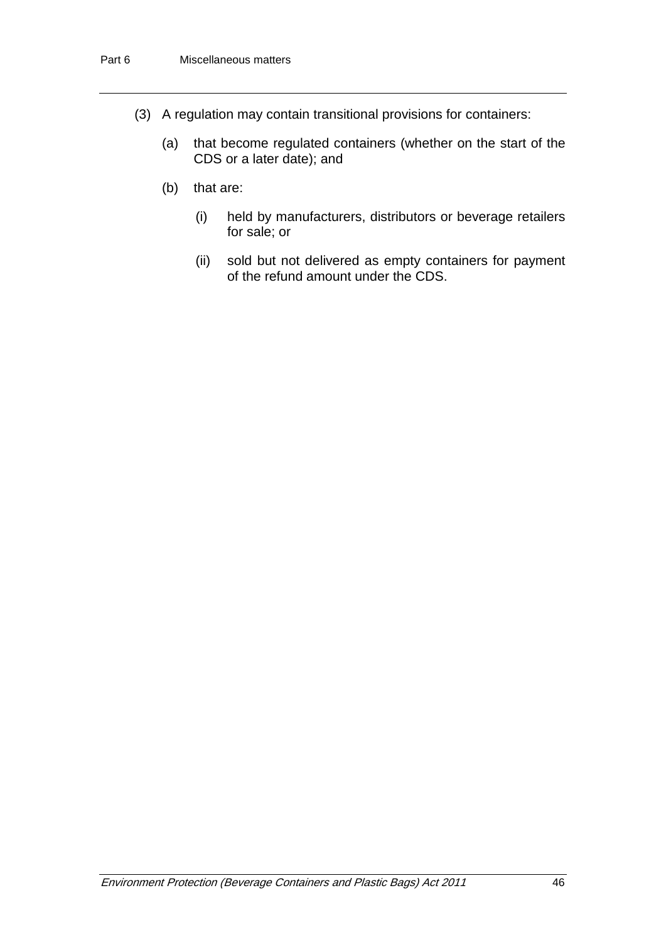- (3) A regulation may contain transitional provisions for containers:
	- (a) that become regulated containers (whether on the start of the CDS or a later date); and
	- (b) that are:
		- (i) held by manufacturers, distributors or beverage retailers for sale; or
		- (ii) sold but not delivered as empty containers for payment of the refund amount under the CDS.